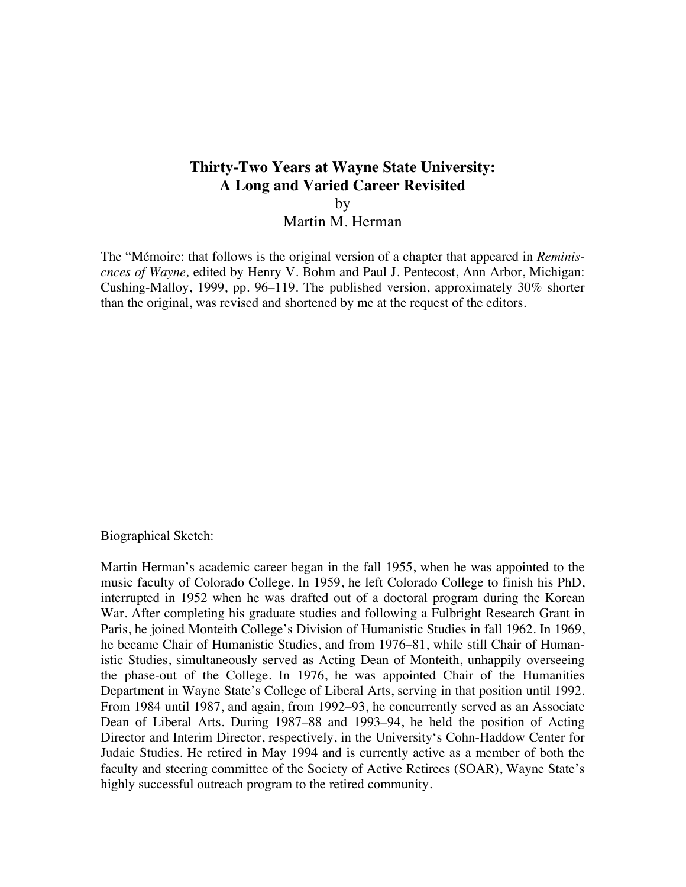# **Thirty-Two Years at Wayne State University: A Long and Varied Career Revisited**

by

Martin M. Herman

The "Mémoire: that follows is the original version of a chapter that appeared in *Reminiscnces of Wayne,* edited by Henry V. Bohm and Paul J. Pentecost, Ann Arbor, Michigan: Cushing-Malloy, 1999, pp. 96–119. The published version, approximately 30% shorter than the original, was revised and shortened by me at the request of the editors.

Biographical Sketch:

Martin Herman's academic career began in the fall 1955, when he was appointed to the music faculty of Colorado College. In 1959, he left Colorado College to finish his PhD, interrupted in 1952 when he was drafted out of a doctoral program during the Korean War. After completing his graduate studies and following a Fulbright Research Grant in Paris, he joined Monteith College's Division of Humanistic Studies in fall 1962. In 1969, he became Chair of Humanistic Studies, and from 1976–81, while still Chair of Humanistic Studies, simultaneously served as Acting Dean of Monteith, unhappily overseeing the phase-out of the College. In 1976, he was appointed Chair of the Humanities Department in Wayne State's College of Liberal Arts, serving in that position until 1992. From 1984 until 1987, and again, from 1992–93, he concurrently served as an Associate Dean of Liberal Arts. During 1987–88 and 1993–94, he held the position of Acting Director and Interim Director, respectively, in the University's Cohn-Haddow Center for Judaic Studies. He retired in May 1994 and is currently active as a member of both the faculty and steering committee of the Society of Active Retirees (SOAR), Wayne State's highly successful outreach program to the retired community.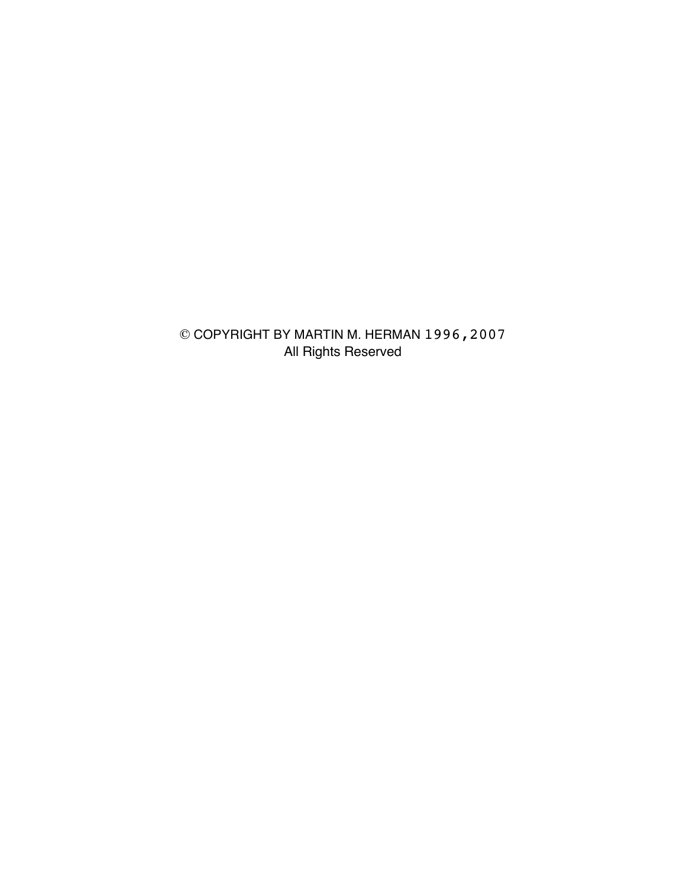© COPYRIGHT BY MARTIN M. HERMAN 1996,2007 All Rights Reserved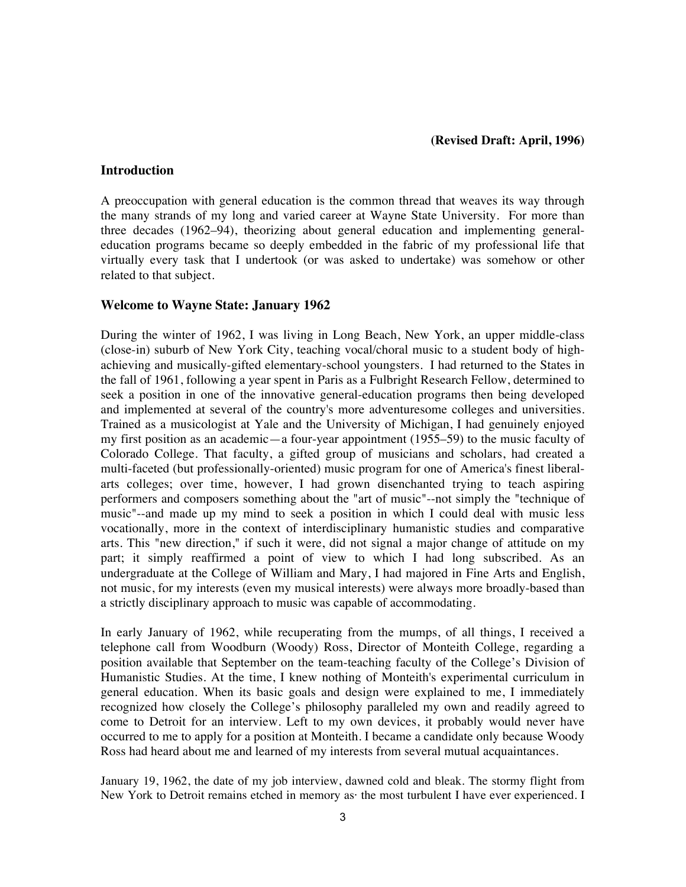#### **(Revised Draft: April, 1996)**

#### **Introduction**

A preoccupation with general education is the common thread that weaves its way through the many strands of my long and varied career at Wayne State University. For more than three decades (1962–94), theorizing about general education and implementing generaleducation programs became so deeply embedded in the fabric of my professional life that virtually every task that I undertook (or was asked to undertake) was somehow or other related to that subject.

#### **Welcome to Wayne State: January 1962**

During the winter of 1962, I was living in Long Beach, New York, an upper middle-class (close-in) suburb of New York City, teaching vocal/choral music to a student body of highachieving and musically-gifted elementary-school youngsters. I had returned to the States in the fall of 1961, following a year spent in Paris as a Fulbright Research Fellow, determined to seek a position in one of the innovative general-education programs then being developed and implemented at several of the country's more adventuresome colleges and universities. Trained as a musicologist at Yale and the University of Michigan, I had genuinely enjoyed my first position as an academic—a four-year appointment (1955–59) to the music faculty of Colorado College. That faculty, a gifted group of musicians and scholars, had created a multi-faceted (but professionally-oriented) music program for one of America's finest liberalarts colleges; over time, however, I had grown disenchanted trying to teach aspiring performers and composers something about the "art of music"--not simply the "technique of music"--and made up my mind to seek a position in which I could deal with music less vocationally, more in the context of interdisciplinary humanistic studies and comparative arts. This "new direction," if such it were, did not signal a major change of attitude on my part; it simply reaffirmed a point of view to which I had long subscribed. As an undergraduate at the College of William and Mary, I had majored in Fine Arts and English, not music, for my interests (even my musical interests) were always more broadly-based than a strictly disciplinary approach to music was capable of accommodating.

In early January of 1962, while recuperating from the mumps, of all things, I received a telephone call from Woodburn (Woody) Ross, Director of Monteith College, regarding a position available that September on the team-teaching faculty of the College's Division of Humanistic Studies. At the time, I knew nothing of Monteith's experimental curriculum in general education. When its basic goals and design were explained to me, I immediately recognized how closely the College's philosophy paralleled my own and readily agreed to come to Detroit for an interview. Left to my own devices, it probably would never have occurred to me to apply for a position at Monteith. I became a candidate only because Woody Ross had heard about me and learned of my interests from several mutual acquaintances.

January 19, 1962, the date of my job interview, dawned cold and bleak. The stormy flight from New York to Detroit remains etched in memory as· the most turbulent I have ever experienced. I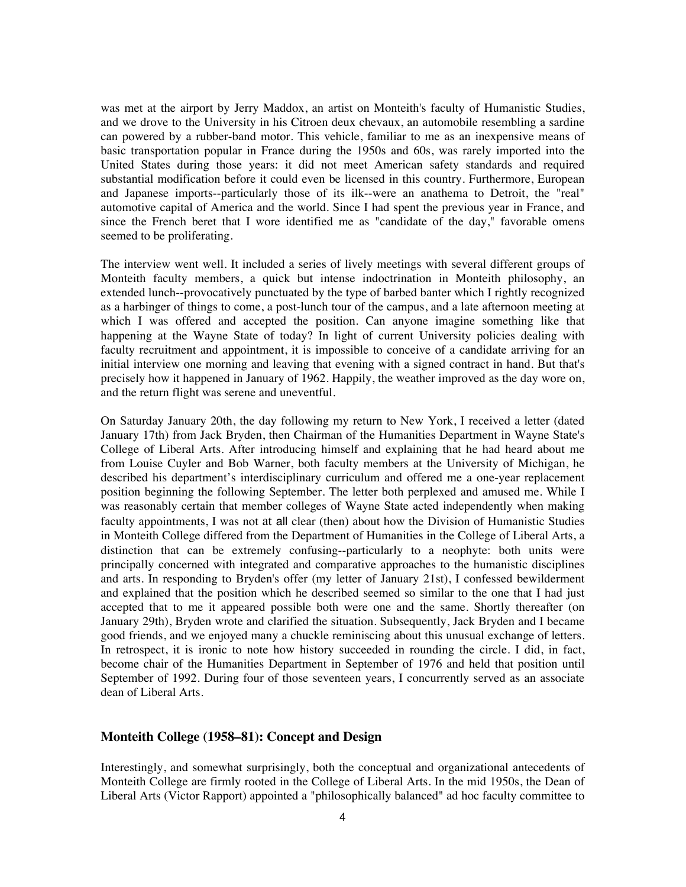was met at the airport by Jerry Maddox, an artist on Monteith's faculty of Humanistic Studies, and we drove to the University in his Citroen deux chevaux, an automobile resembling a sardine can powered by a rubber-band motor. This vehicle, familiar to me as an inexpensive means of basic transportation popular in France during the 1950s and 60s, was rarely imported into the United States during those years: it did not meet American safety standards and required substantial modification before it could even be licensed in this country. Furthermore, European and Japanese imports--particularly those of its ilk--were an anathema to Detroit, the "real" automotive capital of America and the world. Since I had spent the previous year in France, and since the French beret that I wore identified me as "candidate of the day," favorable omens seemed to be proliferating.

The interview went well. It included a series of lively meetings with several different groups of Monteith faculty members, a quick but intense indoctrination in Monteith philosophy, an extended lunch--provocatively punctuated by the type of barbed banter which I rightly recognized as a harbinger of things to come, a post-lunch tour of the campus, and a late afternoon meeting at which I was offered and accepted the position. Can anyone imagine something like that happening at the Wayne State of today? In light of current University policies dealing with faculty recruitment and appointment, it is impossible to conceive of a candidate arriving for an initial interview one morning and leaving that evening with a signed contract in hand. But that's precisely how it happened in January of 1962. Happily, the weather improved as the day wore on, and the return flight was serene and uneventful.

On Saturday January 20th, the day following my return to New York, I received a letter (dated January 17th) from Jack Bryden, then Chairman of the Humanities Department in Wayne State's College of Liberal Arts. After introducing himself and explaining that he had heard about me from Louise Cuyler and Bob Warner, both faculty members at the University of Michigan, he described his department's interdisciplinary curriculum and offered me a one-year replacement position beginning the following September. The letter both perplexed and amused me. While I was reasonably certain that member colleges of Wayne State acted independently when making faculty appointments, I was not at all clear (then) about how the Division of Humanistic Studies in Monteith College differed from the Department of Humanities in the College of Liberal Arts, a distinction that can be extremely confusing--particularly to a neophyte: both units were principally concerned with integrated and comparative approaches to the humanistic disciplines and arts. In responding to Bryden's offer (my letter of January 21st), I confessed bewilderment and explained that the position which he described seemed so similar to the one that I had just accepted that to me it appeared possible both were one and the same. Shortly thereafter (on January 29th), Bryden wrote and clarified the situation. Subsequently, Jack Bryden and I became good friends, and we enjoyed many a chuckle reminiscing about this unusual exchange of letters. In retrospect, it is ironic to note how history succeeded in rounding the circle. I did, in fact, become chair of the Humanities Department in September of 1976 and held that position until September of 1992. During four of those seventeen years, I concurrently served as an associate dean of Liberal Arts.

# **Monteith College (1958–81): Concept and Design**

Interestingly, and somewhat surprisingly, both the conceptual and organizational antecedents of Monteith College are firmly rooted in the College of Liberal Arts. In the mid 1950s, the Dean of Liberal Arts (Victor Rapport) appointed a "philosophically balanced" ad hoc faculty committee to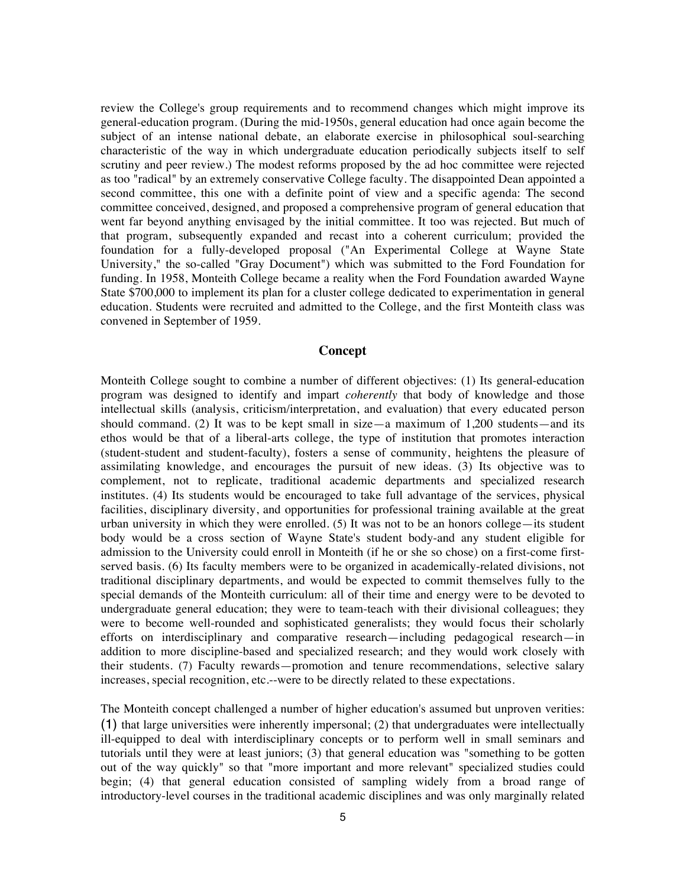review the College's group requirements and to recommend changes which might improve its general-education program. (During the mid-1950s, general education had once again become the subject of an intense national debate, an elaborate exercise in philosophical soul-searching characteristic of the way in which undergraduate education periodically subjects itself to self scrutiny and peer review.) The modest reforms proposed by the ad hoc committee were rejected as too "radical" by an extremely conservative College faculty. The disappointed Dean appointed a second committee, this one with a definite point of view and a specific agenda: The second committee conceived, designed, and proposed a comprehensive program of general education that went far beyond anything envisaged by the initial committee. It too was rejected. But much of that program, subsequently expanded and recast into a coherent curriculum; provided the foundation for a fully-developed proposal ("An Experimental College at Wayne State University," the so-called "Gray Document") which was submitted to the Ford Foundation for funding. In 1958, Monteith College became a reality when the Ford Foundation awarded Wayne State \$700,000 to implement its plan for a cluster college dedicated to experimentation in general education. Students were recruited and admitted to the College, and the first Monteith class was convened in September of 1959.

# **Concept**

Monteith College sought to combine a number of different objectives: (1) Its general-education program was designed to identify and impart *coherently* that body of knowledge and those intellectual skills (analysis, criticism/interpretation, and evaluation) that every educated person should command. (2) It was to be kept small in size—a maximum of  $1,200$  students—and its ethos would be that of a liberal-arts college, the type of institution that promotes interaction (student-student and student-faculty), fosters a sense of community, heightens the pleasure of assimilating knowledge, and encourages the pursuit of new ideas. (3) Its objective was to complement, not to replicate, traditional academic departments and specialized research institutes. (4) Its students would be encouraged to take full advantage of the services, physical facilities, disciplinary diversity, and opportunities for professional training available at the great urban university in which they were enrolled. (5) It was not to be an honors college—its student body would be a cross section of Wayne State's student body-and any student eligible for admission to the University could enroll in Monteith (if he or she so chose) on a first-come firstserved basis. (6) Its faculty members were to be organized in academically-related divisions, not traditional disciplinary departments, and would be expected to commit themselves fully to the special demands of the Monteith curriculum: all of their time and energy were to be devoted to undergraduate general education; they were to team-teach with their divisional colleagues; they were to become well-rounded and sophisticated generalists; they would focus their scholarly efforts on interdisciplinary and comparative research—including pedagogical research—in addition to more discipline-based and specialized research; and they would work closely with their students. (7) Faculty rewards—promotion and tenure recommendations, selective salary increases, special recognition, etc.--were to be directly related to these expectations.

The Monteith concept challenged a number of higher education's assumed but unproven verities: (1) that large universities were inherently impersonal; (2) that undergraduates were intellectually ill-equipped to deal with interdisciplinary concepts or to perform well in small seminars and tutorials until they were at least juniors; (3) that general education was "something to be gotten out of the way quickly" so that "more important and more relevant" specialized studies could begin; (4) that general education consisted of sampling widely from a broad range of introductory-level courses in the traditional academic disciplines and was only marginally related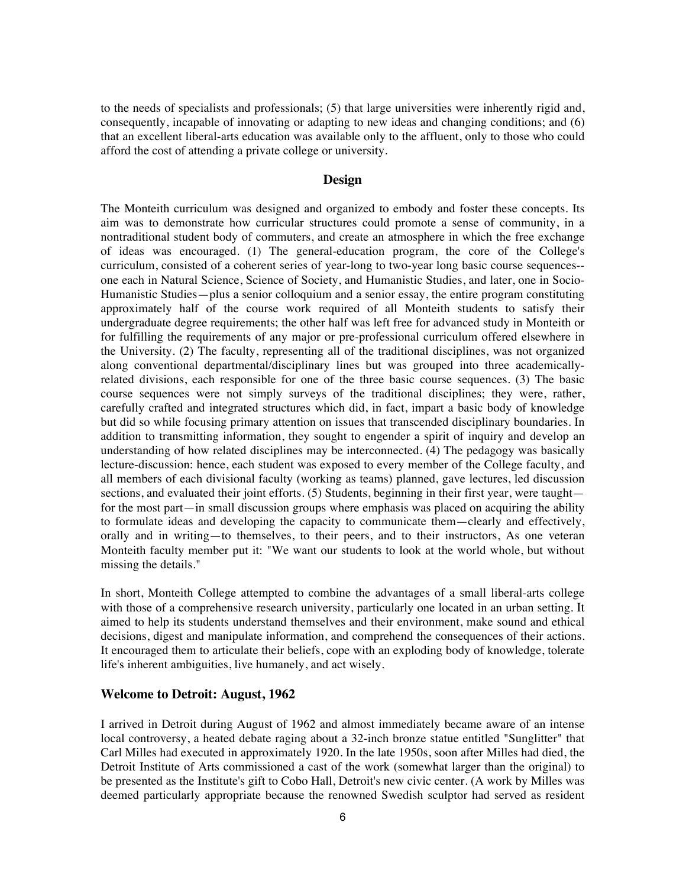to the needs of specialists and professionals; (5) that large universities were inherently rigid and, consequently, incapable of innovating or adapting to new ideas and changing conditions; and (6) that an excellent liberal-arts education was available only to the affluent, only to those who could afford the cost of attending a private college or university.

# **Design**

The Monteith curriculum was designed and organized to embody and foster these concepts. Its aim was to demonstrate how curricular structures could promote a sense of community, in a nontraditional student body of commuters, and create an atmosphere in which the free exchange of ideas was encouraged. (1) The general-education program, the core of the College's curriculum, consisted of a coherent series of year-long to two-year long basic course sequences- one each in Natural Science, Science of Society, and Humanistic Studies, and later, one in Socio-Humanistic Studies—plus a senior colloquium and a senior essay, the entire program constituting approximately half of the course work required of all Monteith students to satisfy their undergraduate degree requirements; the other half was left free for advanced study in Monteith or for fulfilling the requirements of any major or pre-professional curriculum offered elsewhere in the University. (2) The faculty, representing all of the traditional disciplines, was not organized along conventional departmental/disciplinary lines but was grouped into three academicallyrelated divisions, each responsible for one of the three basic course sequences. (3) The basic course sequences were not simply surveys of the traditional disciplines; they were, rather, carefully crafted and integrated structures which did, in fact, impart a basic body of knowledge but did so while focusing primary attention on issues that transcended disciplinary boundaries. In addition to transmitting information, they sought to engender a spirit of inquiry and develop an understanding of how related disciplines may be interconnected. (4) The pedagogy was basically lecture-discussion: hence, each student was exposed to every member of the College faculty, and all members of each divisional faculty (working as teams) planned, gave lectures, led discussion sections, and evaluated their joint efforts. (5) Students, beginning in their first year, were taught for the most part—in small discussion groups where emphasis was placed on acquiring the ability to formulate ideas and developing the capacity to communicate them—clearly and effectively, orally and in writing—to themselves, to their peers, and to their instructors, As one veteran Monteith faculty member put it: "We want our students to look at the world whole, but without missing the details."

In short, Monteith College attempted to combine the advantages of a small liberal-arts college with those of a comprehensive research university, particularly one located in an urban setting. It aimed to help its students understand themselves and their environment, make sound and ethical decisions, digest and manipulate information, and comprehend the consequences of their actions. It encouraged them to articulate their beliefs, cope with an exploding body of knowledge, tolerate life's inherent ambiguities, live humanely, and act wisely.

#### **Welcome to Detroit: August, 1962**

I arrived in Detroit during August of 1962 and almost immediately became aware of an intense local controversy, a heated debate raging about a 32-inch bronze statue entitled "Sunglitter" that Carl Milles had executed in approximately 1920. In the late 1950s, soon after Milles had died, the Detroit Institute of Arts commissioned a cast of the work (somewhat larger than the original) to be presented as the Institute's gift to Cobo Hall, Detroit's new civic center. (A work by Milles was deemed particularly appropriate because the renowned Swedish sculptor had served as resident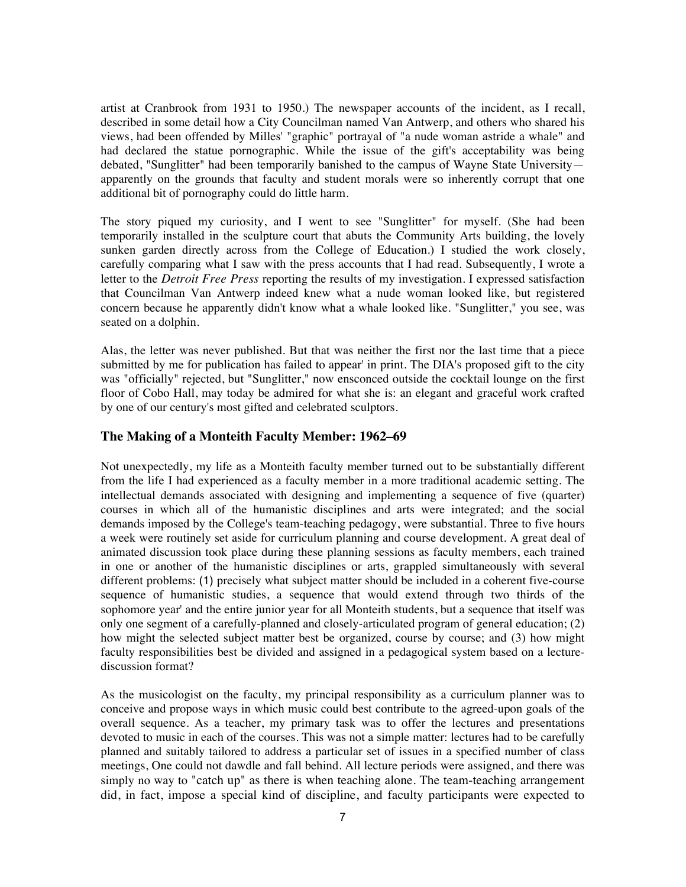artist at Cranbrook from 1931 to 1950.) The newspaper accounts of the incident, as I recall, described in some detail how a City Councilman named Van Antwerp, and others who shared his views, had been offended by Milles' "graphic" portrayal of "a nude woman astride a whale" and had declared the statue pornographic. While the issue of the gift's acceptability was being debated, "Sunglitter" had been temporarily banished to the campus of Wayne State University apparently on the grounds that faculty and student morals were so inherently corrupt that one additional bit of pornography could do little harm.

The story piqued my curiosity, and I went to see "Sunglitter" for myself. (She had been temporarily installed in the sculpture court that abuts the Community Arts building, the lovely sunken garden directly across from the College of Education.) I studied the work closely, carefully comparing what I saw with the press accounts that I had read. Subsequently, I wrote a letter to the *Detroit Free Press* reporting the results of my investigation. I expressed satisfaction that Councilman Van Antwerp indeed knew what a nude woman looked like, but registered concern because he apparently didn't know what a whale looked like. "Sunglitter," you see, was seated on a dolphin.

Alas, the letter was never published. But that was neither the first nor the last time that a piece submitted by me for publication has failed to appear' in print. The DIA's proposed gift to the city was "officially" rejected, but "Sunglitter," now ensconced outside the cocktail lounge on the first floor of Cobo Hall, may today be admired for what she is: an elegant and graceful work crafted by one of our century's most gifted and celebrated sculptors.

# **The Making of a Monteith Faculty Member: 1962–69**

Not unexpectedly, my life as a Monteith faculty member turned out to be substantially different from the life I had experienced as a faculty member in a more traditional academic setting. The intellectual demands associated with designing and implementing a sequence of five (quarter) courses in which all of the humanistic disciplines and arts were integrated; and the social demands imposed by the College's team-teaching pedagogy, were substantial. Three to five hours a week were routinely set aside for curriculum planning and course development. A great deal of animated discussion took place during these planning sessions as faculty members, each trained in one or another of the humanistic disciplines or arts, grappled simultaneously with several different problems: (1) precisely what subject matter should be included in a coherent five-course sequence of humanistic studies, a sequence that would extend through two thirds of the sophomore year' and the entire junior year for all Monteith students, but a sequence that itself was only one segment of a carefully-planned and closely-articulated program of general education; (2) how might the selected subject matter best be organized, course by course; and (3) how might faculty responsibilities best be divided and assigned in a pedagogical system based on a lecturediscussion format?

As the musicologist on the faculty, my principal responsibility as a curriculum planner was to conceive and propose ways in which music could best contribute to the agreed-upon goals of the overall sequence. As a teacher, my primary task was to offer the lectures and presentations devoted to music in each of the courses. This was not a simple matter: lectures had to be carefully planned and suitably tailored to address a particular set of issues in a specified number of class meetings, One could not dawdle and fall behind. All lecture periods were assigned, and there was simply no way to "catch up" as there is when teaching alone. The team-teaching arrangement did, in fact, impose a special kind of discipline, and faculty participants were expected to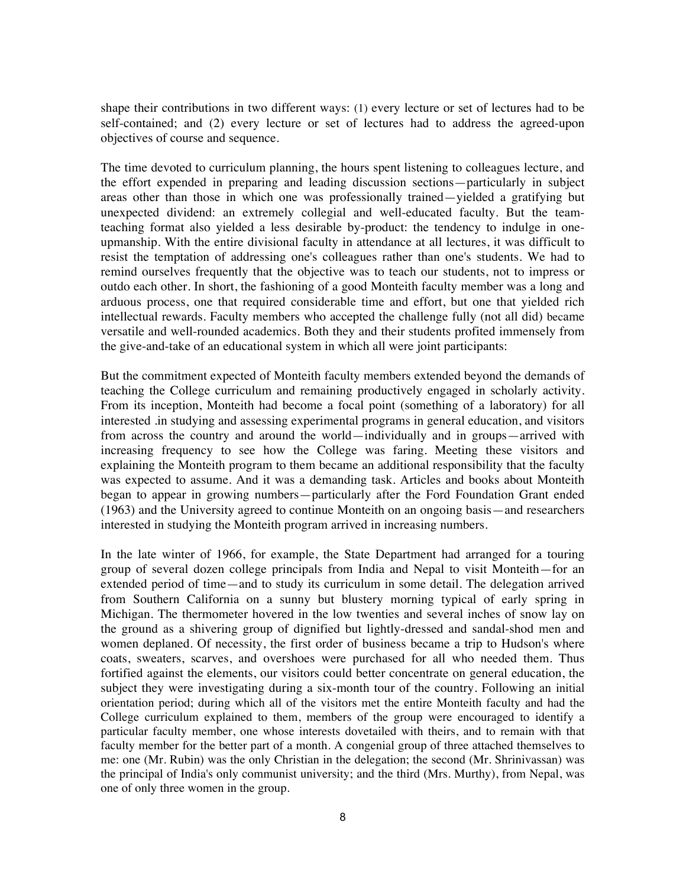shape their contributions in two different ways: (1) every lecture or set of lectures had to be self-contained; and (2) every lecture or set of lectures had to address the agreed-upon objectives of course and sequence.

The time devoted to curriculum planning, the hours spent listening to colleagues lecture, and the effort expended in preparing and leading discussion sections—particularly in subject areas other than those in which one was professionally trained—yielded a gratifying but unexpected dividend: an extremely collegial and well-educated faculty. But the teamteaching format also yielded a less desirable by-product: the tendency to indulge in oneupmanship. With the entire divisional faculty in attendance at all lectures, it was difficult to resist the temptation of addressing one's colleagues rather than one's students. We had to remind ourselves frequently that the objective was to teach our students, not to impress or outdo each other. In short, the fashioning of a good Monteith faculty member was a long and arduous process, one that required considerable time and effort, but one that yielded rich intellectual rewards. Faculty members who accepted the challenge fully (not all did) became versatile and well-rounded academics. Both they and their students profited immensely from the give-and-take of an educational system in which all were joint participants:

But the commitment expected of Monteith faculty members extended beyond the demands of teaching the College curriculum and remaining productively engaged in scholarly activity. From its inception, Monteith had become a focal point (something of a laboratory) for all interested .in studying and assessing experimental programs in general education, and visitors from across the country and around the world—individually and in groups—arrived with increasing frequency to see how the College was faring. Meeting these visitors and explaining the Monteith program to them became an additional responsibility that the faculty was expected to assume. And it was a demanding task. Articles and books about Monteith began to appear in growing numbers—particularly after the Ford Foundation Grant ended (1963) and the University agreed to continue Monteith on an ongoing basis—and researchers interested in studying the Monteith program arrived in increasing numbers.

In the late winter of 1966, for example, the State Department had arranged for a touring group of several dozen college principals from India and Nepal to visit Monteith—for an extended period of time—and to study its curriculum in some detail. The delegation arrived from Southern California on a sunny but blustery morning typical of early spring in Michigan. The thermometer hovered in the low twenties and several inches of snow lay on the ground as a shivering group of dignified but lightly-dressed and sandal-shod men and women deplaned. Of necessity, the first order of business became a trip to Hudson's where coats, sweaters, scarves, and overshoes were purchased for all who needed them. Thus fortified against the elements, our visitors could better concentrate on general education, the subject they were investigating during a six-month tour of the country. Following an initial orientation period; during which all of the visitors met the entire Monteith faculty and had the College curriculum explained to them, members of the group were encouraged to identify a particular faculty member, one whose interests dovetailed with theirs, and to remain with that faculty member for the better part of a month. A congenial group of three attached themselves to me: one (Mr. Rubin) was the only Christian in the delegation; the second (Mr. Shrinivassan) was the principal of India's only communist university; and the third (Mrs. Murthy), from Nepal, was one of only three women in the group.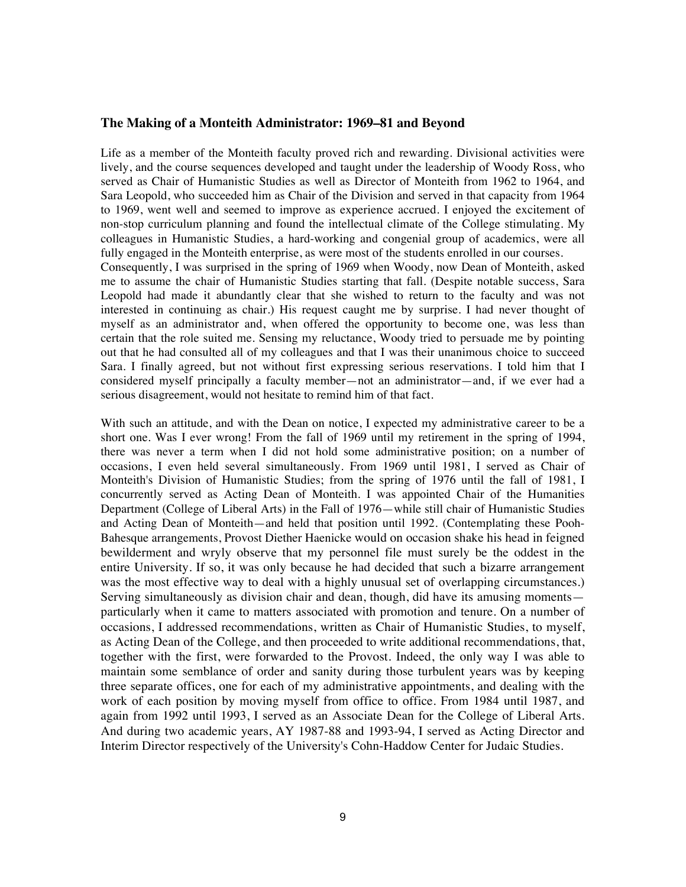#### **The Making of a Monteith Administrator: 1969–81 and Beyond**

Life as a member of the Monteith faculty proved rich and rewarding. Divisional activities were lively, and the course sequences developed and taught under the leadership of Woody Ross, who served as Chair of Humanistic Studies as well as Director of Monteith from 1962 to 1964, and Sara Leopold, who succeeded him as Chair of the Division and served in that capacity from 1964 to 1969, went well and seemed to improve as experience accrued. I enjoyed the excitement of non-stop curriculum planning and found the intellectual climate of the College stimulating. My colleagues in Humanistic Studies, a hard-working and congenial group of academics, were all fully engaged in the Monteith enterprise, as were most of the students enrolled in our courses.

Consequently, I was surprised in the spring of 1969 when Woody, now Dean of Monteith, asked me to assume the chair of Humanistic Studies starting that fall. (Despite notable success, Sara Leopold had made it abundantly clear that she wished to return to the faculty and was not interested in continuing as chair.) His request caught me by surprise. I had never thought of myself as an administrator and, when offered the opportunity to become one, was less than certain that the role suited me. Sensing my reluctance, Woody tried to persuade me by pointing out that he had consulted all of my colleagues and that I was their unanimous choice to succeed Sara. I finally agreed, but not without first expressing serious reservations. I told him that I considered myself principally a faculty member—not an administrator—and, if we ever had a serious disagreement, would not hesitate to remind him of that fact.

With such an attitude, and with the Dean on notice, I expected my administrative career to be a short one. Was I ever wrong! From the fall of 1969 until my retirement in the spring of 1994, there was never a term when I did not hold some administrative position; on a number of occasions, I even held several simultaneously. From 1969 until 1981, I served as Chair of Monteith's Division of Humanistic Studies; from the spring of 1976 until the fall of 1981, I concurrently served as Acting Dean of Monteith. I was appointed Chair of the Humanities Department (College of Liberal Arts) in the Fall of 1976—while still chair of Humanistic Studies and Acting Dean of Monteith—and held that position until 1992. (Contemplating these Pooh-Bahesque arrangements, Provost Diether Haenicke would on occasion shake his head in feigned bewilderment and wryly observe that my personnel file must surely be the oddest in the entire University. If so, it was only because he had decided that such a bizarre arrangement was the most effective way to deal with a highly unusual set of overlapping circumstances.) Serving simultaneously as division chair and dean, though, did have its amusing moments particularly when it came to matters associated with promotion and tenure. On a number of occasions, I addressed recommendations, written as Chair of Humanistic Studies, to myself, as Acting Dean of the College, and then proceeded to write additional recommendations, that, together with the first, were forwarded to the Provost. Indeed, the only way I was able to maintain some semblance of order and sanity during those turbulent years was by keeping three separate offices, one for each of my administrative appointments, and dealing with the work of each position by moving myself from office to office. From 1984 until 1987, and again from 1992 until 1993, I served as an Associate Dean for the College of Liberal Arts. And during two academic years, AY 1987-88 and 1993-94, I served as Acting Director and Interim Director respectively of the University's Cohn-Haddow Center for Judaic Studies.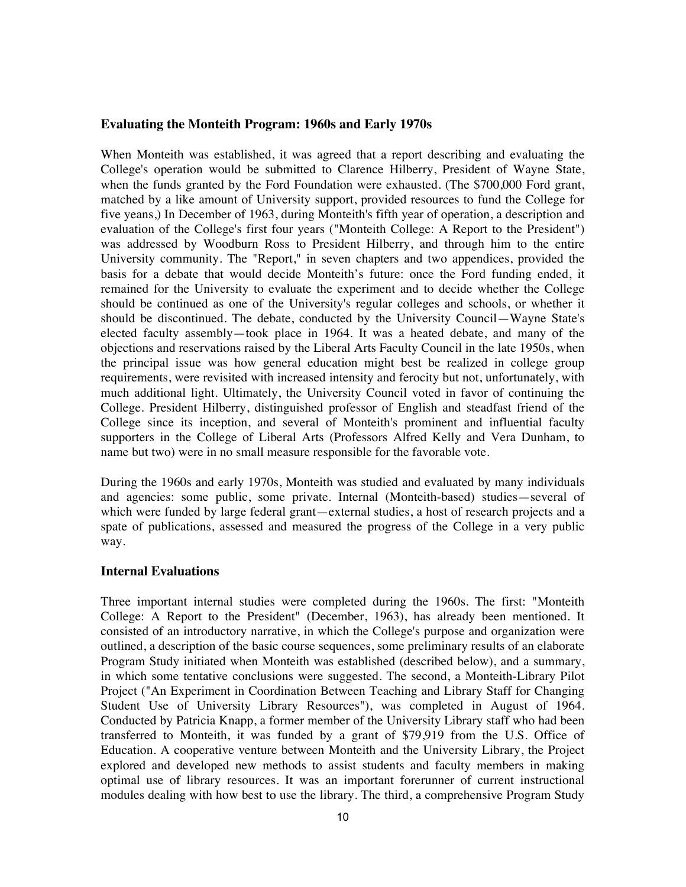#### **Evaluating the Monteith Program: 1960s and Early 1970s**

When Monteith was established, it was agreed that a report describing and evaluating the College's operation would be submitted to Clarence Hilberry, President of Wayne State, when the funds granted by the Ford Foundation were exhausted. (The \$700,000 Ford grant, matched by a like amount of University support, provided resources to fund the College for five yeans,) In December of 1963, during Monteith's fifth year of operation, a description and evaluation of the College's first four years ("Monteith College: A Report to the President") was addressed by Woodburn Ross to President Hilberry, and through him to the entire University community. The "Report," in seven chapters and two appendices, provided the basis for a debate that would decide Monteith's future: once the Ford funding ended, it remained for the University to evaluate the experiment and to decide whether the College should be continued as one of the University's regular colleges and schools, or whether it should be discontinued. The debate, conducted by the University Council—Wayne State's elected faculty assembly—took place in 1964. It was a heated debate, and many of the objections and reservations raised by the Liberal Arts Faculty Council in the late 1950s, when the principal issue was how general education might best be realized in college group requirements, were revisited with increased intensity and ferocity but not, unfortunately, with much additional light. Ultimately, the University Council voted in favor of continuing the College. President Hilberry, distinguished professor of English and steadfast friend of the College since its inception, and several of Monteith's prominent and influential faculty supporters in the College of Liberal Arts (Professors Alfred Kelly and Vera Dunham, to name but two) were in no small measure responsible for the favorable vote.

During the 1960s and early 1970s, Monteith was studied and evaluated by many individuals and agencies: some public, some private. Internal (Monteith-based) studies—several of which were funded by large federal grant—external studies, a host of research projects and a spate of publications, assessed and measured the progress of the College in a very public way.

#### **Internal Evaluations**

Three important internal studies were completed during the 1960s. The first: "Monteith College: A Report to the President" (December, 1963), has already been mentioned. It consisted of an introductory narrative, in which the College's purpose and organization were outlined, a description of the basic course sequences, some preliminary results of an elaborate Program Study initiated when Monteith was established (described below), and a summary, in which some tentative conclusions were suggested. The second, a Monteith-Library Pilot Project ("An Experiment in Coordination Between Teaching and Library Staff for Changing Student Use of University Library Resources"), was completed in August of 1964. Conducted by Patricia Knapp, a former member of the University Library staff who had been transferred to Monteith, it was funded by a grant of \$79,919 from the U.S. Office of Education. A cooperative venture between Monteith and the University Library, the Project explored and developed new methods to assist students and faculty members in making optimal use of library resources. It was an important forerunner of current instructional modules dealing with how best to use the library. The third, a comprehensive Program Study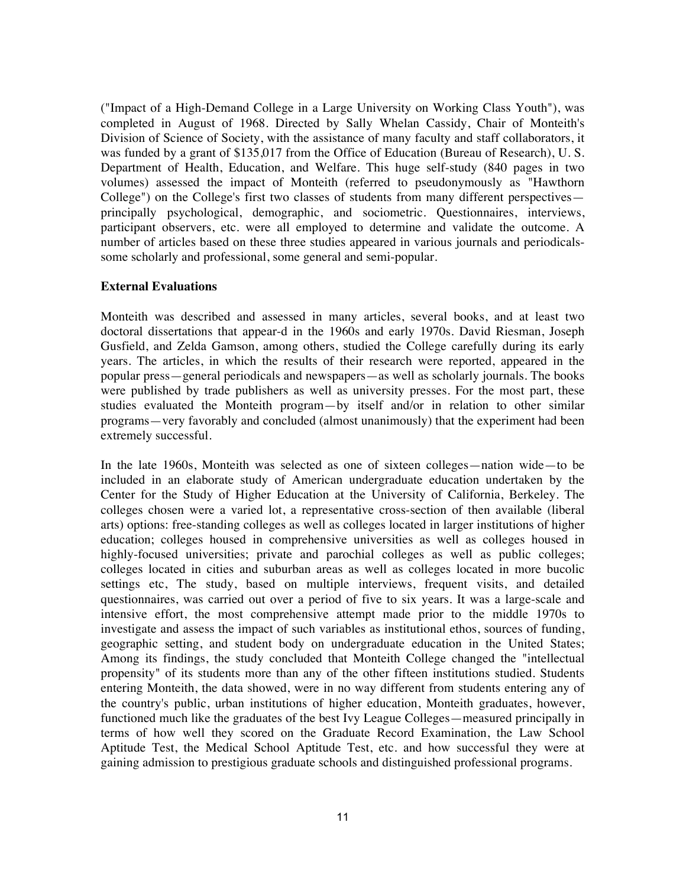("Impact of a High-Demand College in a Large University on Working Class Youth"), was completed in August of 1968. Directed by Sally Whelan Cassidy, Chair of Monteith's Division of Science of Society, with the assistance of many faculty and staff collaborators, it was funded by a grant of \$135,017 from the Office of Education (Bureau of Research), U. S. Department of Health, Education, and Welfare. This huge self-study (840 pages in two volumes) assessed the impact of Monteith (referred to pseudonymously as "Hawthorn College") on the College's first two classes of students from many different perspectives principally psychological, demographic, and sociometric. Questionnaires, interviews, participant observers, etc. were all employed to determine and validate the outcome. A number of articles based on these three studies appeared in various journals and periodicalssome scholarly and professional, some general and semi-popular.

## **External Evaluations**

Monteith was described and assessed in many articles, several books, and at least two doctoral dissertations that appear-d in the 1960s and early 1970s. David Riesman, Joseph Gusfield, and Zelda Gamson, among others, studied the College carefully during its early years. The articles, in which the results of their research were reported, appeared in the popular press—general periodicals and newspapers—as well as scholarly journals. The books were published by trade publishers as well as university presses. For the most part, these studies evaluated the Monteith program—by itself and/or in relation to other similar programs—very favorably and concluded (almost unanimously) that the experiment had been extremely successful.

In the late 1960s, Monteith was selected as one of sixteen colleges—nation wide—to be included in an elaborate study of American undergraduate education undertaken by the Center for the Study of Higher Education at the University of California, Berkeley. The colleges chosen were a varied lot, a representative cross-section of then available (liberal arts) options: free-standing colleges as well as colleges located in larger institutions of higher education; colleges housed in comprehensive universities as well as colleges housed in highly-focused universities; private and parochial colleges as well as public colleges; colleges located in cities and suburban areas as well as colleges located in more bucolic settings etc, The study, based on multiple interviews, frequent visits, and detailed questionnaires, was carried out over a period of five to six years. It was a large-scale and intensive effort, the most comprehensive attempt made prior to the middle 1970s to investigate and assess the impact of such variables as institutional ethos, sources of funding, geographic setting, and student body on undergraduate education in the United States; Among its findings, the study concluded that Monteith College changed the "intellectual propensity" of its students more than any of the other fifteen institutions studied. Students entering Monteith, the data showed, were in no way different from students entering any of the country's public, urban institutions of higher education, Monteith graduates, however, functioned much like the graduates of the best Ivy League Colleges—measured principally in terms of how well they scored on the Graduate Record Examination, the Law School Aptitude Test, the Medical School Aptitude Test, etc. and how successful they were at gaining admission to prestigious graduate schools and distinguished professional programs.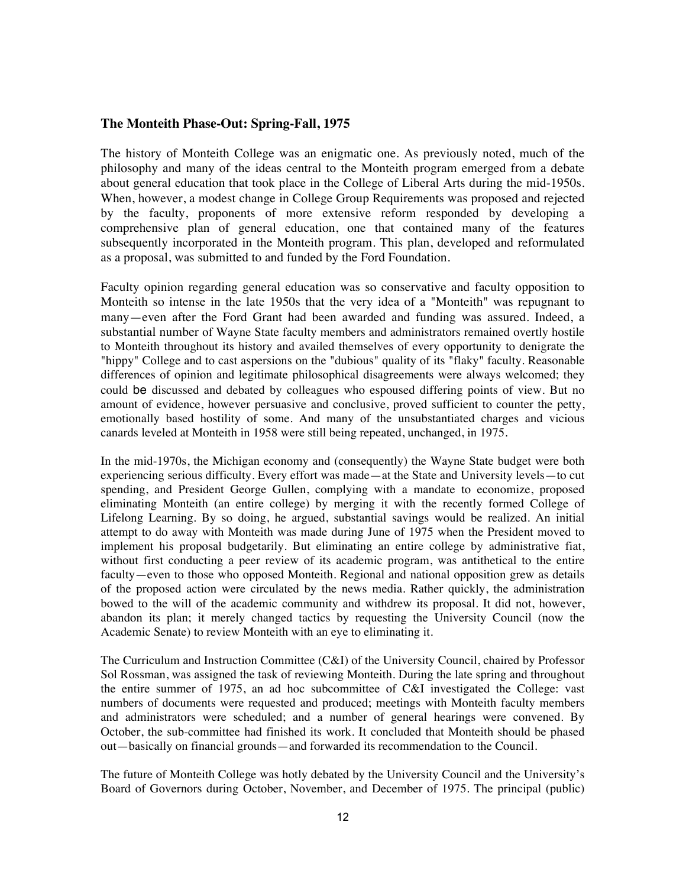#### **The Monteith Phase-Out: Spring-Fall, 1975**

The history of Monteith College was an enigmatic one. As previously noted, much of the philosophy and many of the ideas central to the Monteith program emerged from a debate about general education that took place in the College of Liberal Arts during the mid-1950s. When, however, a modest change in College Group Requirements was proposed and rejected by the faculty, proponents of more extensive reform responded by developing a comprehensive plan of general education, one that contained many of the features subsequently incorporated in the Monteith program. This plan, developed and reformulated as a proposal, was submitted to and funded by the Ford Foundation.

Faculty opinion regarding general education was so conservative and faculty opposition to Monteith so intense in the late 1950s that the very idea of a "Monteith" was repugnant to many—even after the Ford Grant had been awarded and funding was assured. Indeed, a substantial number of Wayne State faculty members and administrators remained overtly hostile to Monteith throughout its history and availed themselves of every opportunity to denigrate the "hippy" College and to cast aspersions on the "dubious" quality of its "flaky" faculty. Reasonable differences of opinion and legitimate philosophical disagreements were always welcomed; they could be discussed and debated by colleagues who espoused differing points of view. But no amount of evidence, however persuasive and conclusive, proved sufficient to counter the petty, emotionally based hostility of some. And many of the unsubstantiated charges and vicious canards leveled at Monteith in 1958 were still being repeated, unchanged, in 1975.

In the mid-1970s, the Michigan economy and (consequently) the Wayne State budget were both experiencing serious difficulty. Every effort was made—at the State and University levels—to cut spending, and President George Gullen, complying with a mandate to economize, proposed eliminating Monteith (an entire college) by merging it with the recently formed College of Lifelong Learning. By so doing, he argued, substantial savings would be realized. An initial attempt to do away with Monteith was made during June of 1975 when the President moved to implement his proposal budgetarily. But eliminating an entire college by administrative fiat, without first conducting a peer review of its academic program, was antithetical to the entire faculty—even to those who opposed Monteith. Regional and national opposition grew as details of the proposed action were circulated by the news media. Rather quickly, the administration bowed to the will of the academic community and withdrew its proposal. It did not, however, abandon its plan; it merely changed tactics by requesting the University Council (now the Academic Senate) to review Monteith with an eye to eliminating it.

The Curriculum and Instruction Committee (C&I) of the University Council, chaired by Professor Sol Rossman, was assigned the task of reviewing Monteith. During the late spring and throughout the entire summer of 1975, an ad hoc subcommittee of C&I investigated the College: vast numbers of documents were requested and produced; meetings with Monteith faculty members and administrators were scheduled; and a number of general hearings were convened. By October, the sub-committee had finished its work. It concluded that Monteith should be phased out—basically on financial grounds—and forwarded its recommendation to the Council.

The future of Monteith College was hotly debated by the University Council and the University's Board of Governors during October, November, and December of 1975. The principal (public)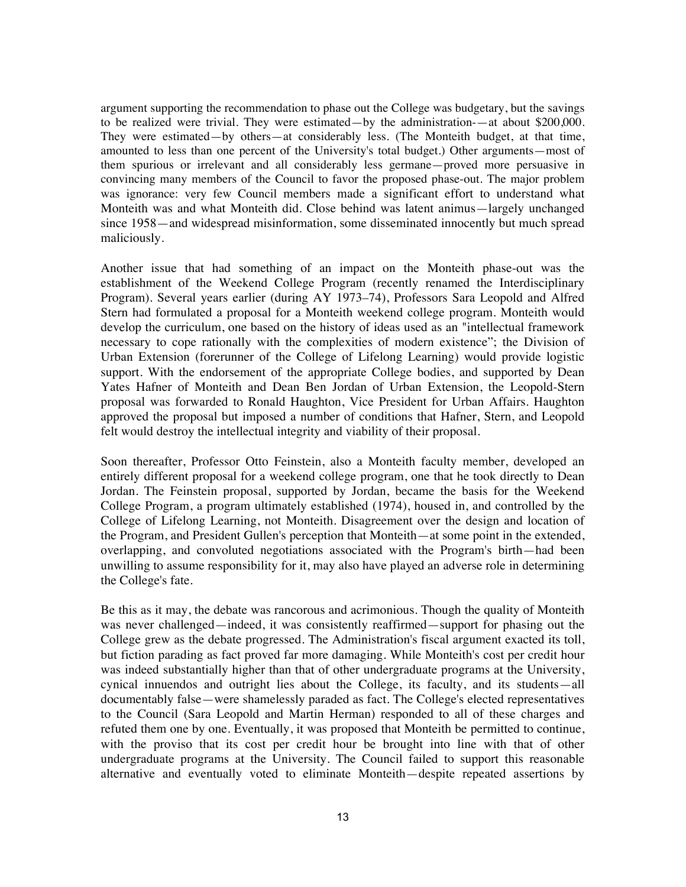argument supporting the recommendation to phase out the College was budgetary, but the savings to be realized were trivial. They were estimated—by the administration-—at about \$200,000. They were estimated—by others—at considerably less. (The Monteith budget, at that time, amounted to less than one percent of the University's total budget.) Other arguments—most of them spurious or irrelevant and all considerably less germane—proved more persuasive in convincing many members of the Council to favor the proposed phase-out. The major problem was ignorance: very few Council members made a significant effort to understand what Monteith was and what Monteith did. Close behind was latent animus—largely unchanged since 1958—and widespread misinformation, some disseminated innocently but much spread maliciously.

Another issue that had something of an impact on the Monteith phase-out was the establishment of the Weekend College Program (recently renamed the Interdisciplinary Program). Several years earlier (during AY 1973–74), Professors Sara Leopold and Alfred Stern had formulated a proposal for a Monteith weekend college program. Monteith would develop the curriculum, one based on the history of ideas used as an "intellectual framework necessary to cope rationally with the complexities of modern existence"; the Division of Urban Extension (forerunner of the College of Lifelong Learning) would provide logistic support. With the endorsement of the appropriate College bodies, and supported by Dean Yates Hafner of Monteith and Dean Ben Jordan of Urban Extension, the Leopold-Stern proposal was forwarded to Ronald Haughton, Vice President for Urban Affairs. Haughton approved the proposal but imposed a number of conditions that Hafner, Stern, and Leopold felt would destroy the intellectual integrity and viability of their proposal.

Soon thereafter, Professor Otto Feinstein, also a Monteith faculty member, developed an entirely different proposal for a weekend college program, one that he took directly to Dean Jordan. The Feinstein proposal, supported by Jordan, became the basis for the Weekend College Program, a program ultimately established (1974), housed in, and controlled by the College of Lifelong Learning, not Monteith. Disagreement over the design and location of the Program, and President Gullen's perception that Monteith—at some point in the extended, overlapping, and convoluted negotiations associated with the Program's birth—had been unwilling to assume responsibility for it, may also have played an adverse role in determining the College's fate.

Be this as it may, the debate was rancorous and acrimonious. Though the quality of Monteith was never challenged—indeed, it was consistently reaffirmed—support for phasing out the College grew as the debate progressed. The Administration's fiscal argument exacted its toll, but fiction parading as fact proved far more damaging. While Monteith's cost per credit hour was indeed substantially higher than that of other undergraduate programs at the University, cynical innuendos and outright lies about the College, its faculty, and its students—all documentably false—were shamelessly paraded as fact. The College's elected representatives to the Council (Sara Leopold and Martin Herman) responded to all of these charges and refuted them one by one. Eventually, it was proposed that Monteith be permitted to continue, with the proviso that its cost per credit hour be brought into line with that of other undergraduate programs at the University. The Council failed to support this reasonable alternative and eventually voted to eliminate Monteith—despite repeated assertions by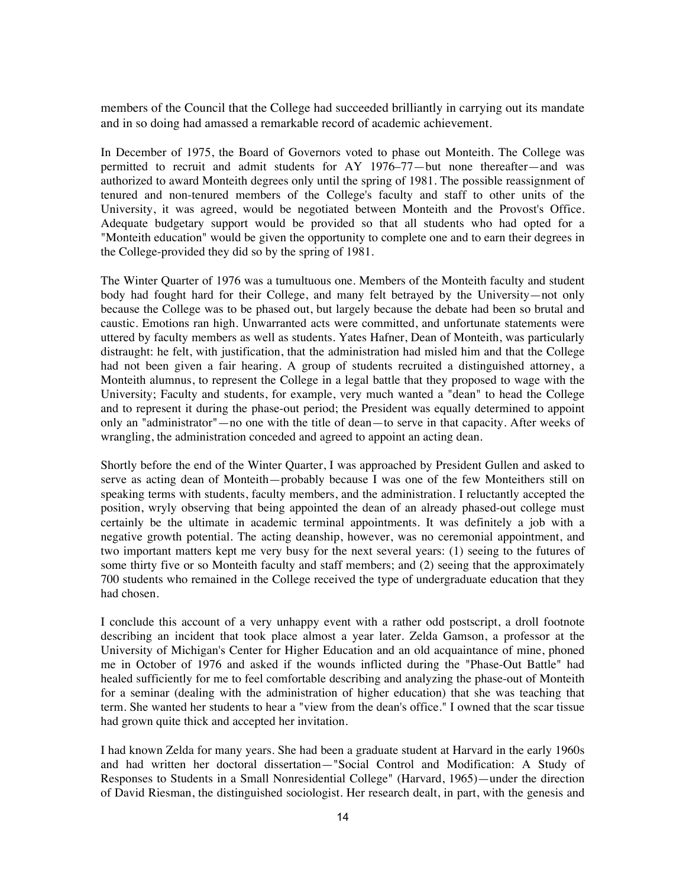members of the Council that the College had succeeded brilliantly in carrying out its mandate and in so doing had amassed a remarkable record of academic achievement.

In December of 1975, the Board of Governors voted to phase out Monteith. The College was permitted to recruit and admit students for AY 1976–77—but none thereafter—and was authorized to award Monteith degrees only until the spring of 1981. The possible reassignment of tenured and non-tenured members of the College's faculty and staff to other units of the University, it was agreed, would be negotiated between Monteith and the Provost's Office. Adequate budgetary support would be provided so that all students who had opted for a "Monteith education" would be given the opportunity to complete one and to earn their degrees in the College-provided they did so by the spring of 1981.

The Winter Quarter of 1976 was a tumultuous one. Members of the Monteith faculty and student body had fought hard for their College, and many felt betrayed by the University—not only because the College was to be phased out, but largely because the debate had been so brutal and caustic. Emotions ran high. Unwarranted acts were committed, and unfortunate statements were uttered by faculty members as well as students. Yates Hafner, Dean of Monteith, was particularly distraught: he felt, with justification, that the administration had misled him and that the College had not been given a fair hearing. A group of students recruited a distinguished attorney, a Monteith alumnus, to represent the College in a legal battle that they proposed to wage with the University; Faculty and students, for example, very much wanted a "dean" to head the College and to represent it during the phase-out period; the President was equally determined to appoint only an "administrator"—no one with the title of dean—to serve in that capacity. After weeks of wrangling, the administration conceded and agreed to appoint an acting dean.

Shortly before the end of the Winter Quarter, I was approached by President Gullen and asked to serve as acting dean of Monteith—probably because I was one of the few Monteithers still on speaking terms with students, faculty members, and the administration. I reluctantly accepted the position, wryly observing that being appointed the dean of an already phased-out college must certainly be the ultimate in academic terminal appointments. It was definitely a job with a negative growth potential. The acting deanship, however, was no ceremonial appointment, and two important matters kept me very busy for the next several years: (1) seeing to the futures of some thirty five or so Monteith faculty and staff members; and (2) seeing that the approximately 700 students who remained in the College received the type of undergraduate education that they had chosen.

I conclude this account of a very unhappy event with a rather odd postscript, a droll footnote describing an incident that took place almost a year later. Zelda Gamson, a professor at the University of Michigan's Center for Higher Education and an old acquaintance of mine, phoned me in October of 1976 and asked if the wounds inflicted during the "Phase-Out Battle" had healed sufficiently for me to feel comfortable describing and analyzing the phase-out of Monteith for a seminar (dealing with the administration of higher education) that she was teaching that term. She wanted her students to hear a "view from the dean's office." I owned that the scar tissue had grown quite thick and accepted her invitation.

I had known Zelda for many years. She had been a graduate student at Harvard in the early 1960s and had written her doctoral dissertation—"Social Control and Modification: A Study of Responses to Students in a Small Nonresidential College" (Harvard, 1965)—under the direction of David Riesman, the distinguished sociologist. Her research dealt, in part, with the genesis and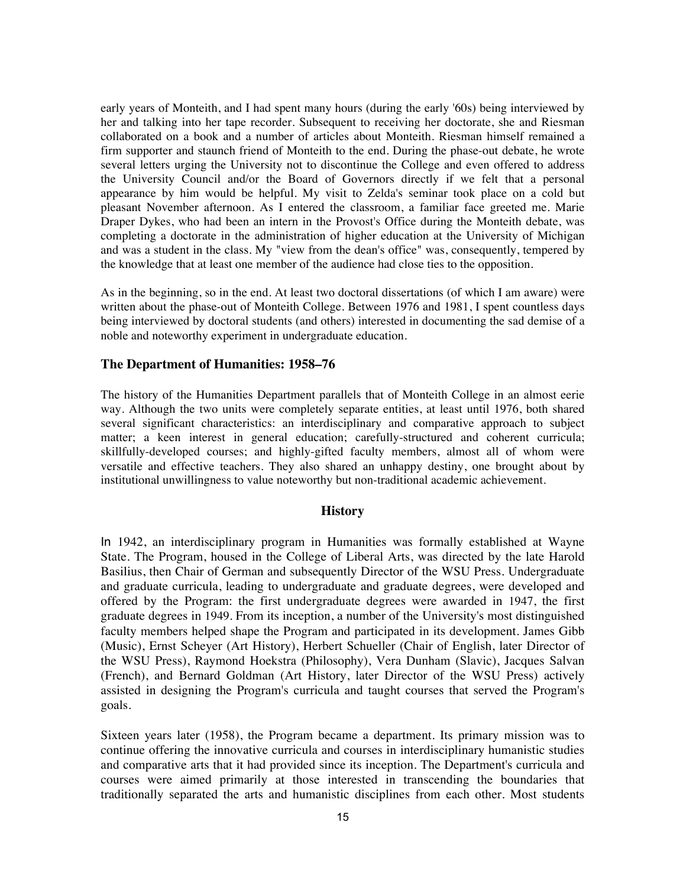early years of Monteith, and I had spent many hours (during the early '60s) being interviewed by her and talking into her tape recorder. Subsequent to receiving her doctorate, she and Riesman collaborated on a book and a number of articles about Monteith. Riesman himself remained a firm supporter and staunch friend of Monteith to the end. During the phase-out debate, he wrote several letters urging the University not to discontinue the College and even offered to address the University Council and/or the Board of Governors directly if we felt that a personal appearance by him would be helpful. My visit to Zelda's seminar took place on a cold but pleasant November afternoon. As I entered the classroom, a familiar face greeted me. Marie Draper Dykes, who had been an intern in the Provost's Office during the Monteith debate, was completing a doctorate in the administration of higher education at the University of Michigan and was a student in the class. My "view from the dean's office" was, consequently, tempered by the knowledge that at least one member of the audience had close ties to the opposition.

As in the beginning, so in the end. At least two doctoral dissertations (of which I am aware) were written about the phase-out of Monteith College. Between 1976 and 1981, I spent countless days being interviewed by doctoral students (and others) interested in documenting the sad demise of a noble and noteworthy experiment in undergraduate education.

#### **The Department of Humanities: 1958–76**

The history of the Humanities Department parallels that of Monteith College in an almost eerie way. Although the two units were completely separate entities, at least until 1976, both shared several significant characteristics: an interdisciplinary and comparative approach to subject matter; a keen interest in general education; carefully-structured and coherent curricula; skillfully-developed courses; and highly-gifted faculty members, almost all of whom were versatile and effective teachers. They also shared an unhappy destiny, one brought about by institutional unwillingness to value noteworthy but non-traditional academic achievement.

# **History**

In 1942, an interdisciplinary program in Humanities was formally established at Wayne State. The Program, housed in the College of Liberal Arts, was directed by the late Harold Basilius, then Chair of German and subsequently Director of the WSU Press. Undergraduate and graduate curricula, leading to undergraduate and graduate degrees, were developed and offered by the Program: the first undergraduate degrees were awarded in 1947, the first graduate degrees in 1949. From its inception, a number of the University's most distinguished faculty members helped shape the Program and participated in its development. James Gibb (Music), Ernst Scheyer (Art History), Herbert Schueller (Chair of English, later Director of the WSU Press), Raymond Hoekstra (Philosophy), Vera Dunham (Slavic), Jacques Salvan (French), and Bernard Goldman (Art History, later Director of the WSU Press) actively assisted in designing the Program's curricula and taught courses that served the Program's goals.

Sixteen years later (1958), the Program became a department. Its primary mission was to continue offering the innovative curricula and courses in interdisciplinary humanistic studies and comparative arts that it had provided since its inception. The Department's curricula and courses were aimed primarily at those interested in transcending the boundaries that traditionally separated the arts and humanistic disciplines from each other. Most students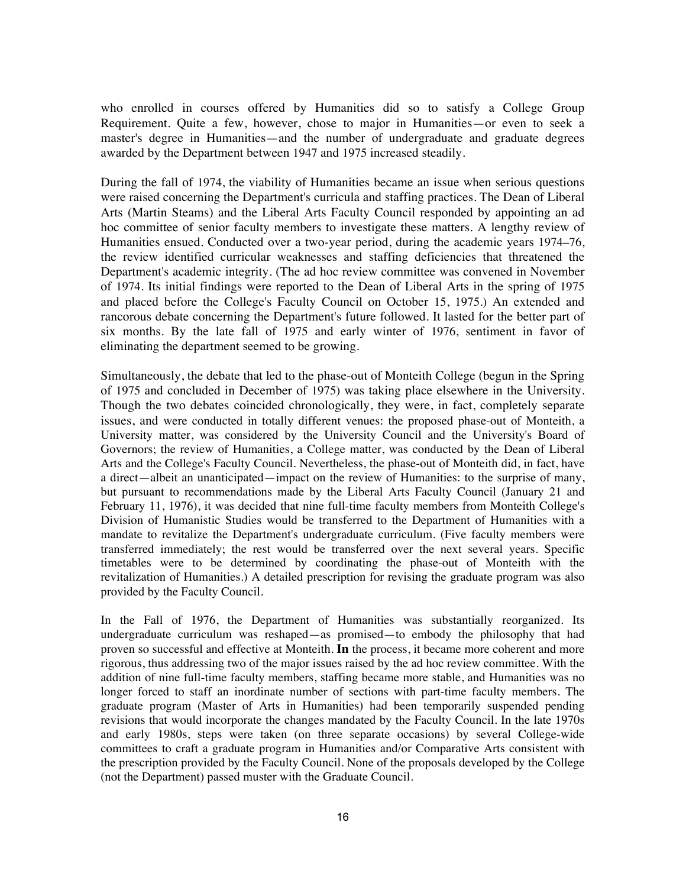who enrolled in courses offered by Humanities did so to satisfy a College Group Requirement. Quite a few, however, chose to major in Humanities—or even to seek a master's degree in Humanities—and the number of undergraduate and graduate degrees awarded by the Department between 1947 and 1975 increased steadily.

During the fall of 1974, the viability of Humanities became an issue when serious questions were raised concerning the Department's curricula and staffing practices. The Dean of Liberal Arts (Martin Steams) and the Liberal Arts Faculty Council responded by appointing an ad hoc committee of senior faculty members to investigate these matters. A lengthy review of Humanities ensued. Conducted over a two-year period, during the academic years 1974–76, the review identified curricular weaknesses and staffing deficiencies that threatened the Department's academic integrity. (The ad hoc review committee was convened in November of 1974. Its initial findings were reported to the Dean of Liberal Arts in the spring of 1975 and placed before the College's Faculty Council on October 15, 1975.) An extended and rancorous debate concerning the Department's future followed. It lasted for the better part of six months. By the late fall of 1975 and early winter of 1976, sentiment in favor of eliminating the department seemed to be growing.

Simultaneously, the debate that led to the phase-out of Monteith College (begun in the Spring of 1975 and concluded in December of 1975) was taking place elsewhere in the University. Though the two debates coincided chronologically, they were, in fact, completely separate issues, and were conducted in totally different venues: the proposed phase-out of Monteith, a University matter, was considered by the University Council and the University's Board of Governors; the review of Humanities, a College matter, was conducted by the Dean of Liberal Arts and the College's Faculty Council. Nevertheless, the phase-out of Monteith did, in fact, have a direct—albeit an unanticipated—impact on the review of Humanities: to the surprise of many, but pursuant to recommendations made by the Liberal Arts Faculty Council (January 21 and February 11, 1976), it was decided that nine full-time faculty members from Monteith College's Division of Humanistic Studies would be transferred to the Department of Humanities with a mandate to revitalize the Department's undergraduate curriculum. (Five faculty members were transferred immediately; the rest would be transferred over the next several years. Specific timetables were to be determined by coordinating the phase-out of Monteith with the revitalization of Humanities.) A detailed prescription for revising the graduate program was also provided by the Faculty Council.

In the Fall of 1976, the Department of Humanities was substantially reorganized. Its undergraduate curriculum was reshaped—as promised—to embody the philosophy that had proven so successful and effective at Monteith. **In** the process, it became more coherent and more rigorous, thus addressing two of the major issues raised by the ad hoc review committee. With the addition of nine full-time faculty members, staffing became more stable, and Humanities was no longer forced to staff an inordinate number of sections with part-time faculty members. The graduate program (Master of Arts in Humanities) had been temporarily suspended pending revisions that would incorporate the changes mandated by the Faculty Council. In the late 1970s and early 1980s, steps were taken (on three separate occasions) by several College-wide committees to craft a graduate program in Humanities and/or Comparative Arts consistent with the prescription provided by the Faculty Council. None of the proposals developed by the College (not the Department) passed muster with the Graduate Council.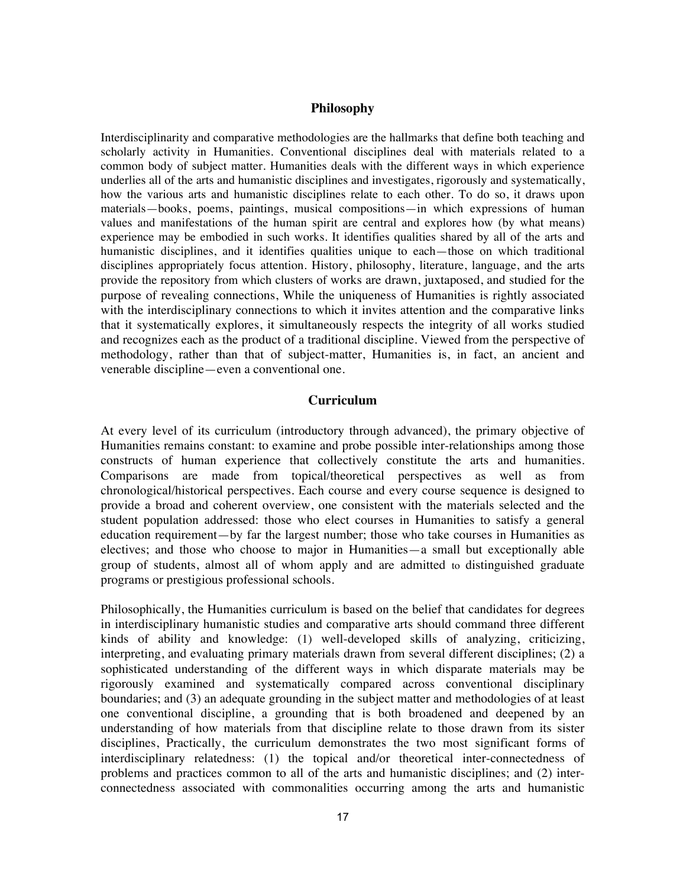#### **Philosophy**

Interdisciplinarity and comparative methodologies are the hallmarks that define both teaching and scholarly activity in Humanities. Conventional disciplines deal with materials related to a common body of subject matter. Humanities deals with the different ways in which experience underlies all of the arts and humanistic disciplines and investigates, rigorously and systematically, how the various arts and humanistic disciplines relate to each other. To do so, it draws upon materials—books, poems, paintings, musical compositions—in which expressions of human values and manifestations of the human spirit are central and explores how (by what means) experience may be embodied in such works. It identifies qualities shared by all of the arts and humanistic disciplines, and it identifies qualities unique to each—those on which traditional disciplines appropriately focus attention. History, philosophy, literature, language, and the arts provide the repository from which clusters of works are drawn, juxtaposed, and studied for the purpose of revealing connections, While the uniqueness of Humanities is rightly associated with the interdisciplinary connections to which it invites attention and the comparative links that it systematically explores, it simultaneously respects the integrity of all works studied and recognizes each as the product of a traditional discipline. Viewed from the perspective of methodology, rather than that of subject-matter, Humanities is, in fact, an ancient and venerable discipline—even a conventional one.

### **Curriculum**

At every level of its curriculum (introductory through advanced), the primary objective of Humanities remains constant: to examine and probe possible inter-relationships among those constructs of human experience that collectively constitute the arts and humanities. Comparisons are made from topical/theoretical perspectives as well as from chronological/historical perspectives. Each course and every course sequence is designed to provide a broad and coherent overview, one consistent with the materials selected and the student population addressed: those who elect courses in Humanities to satisfy a general education requirement—by far the largest number; those who take courses in Humanities as electives; and those who choose to major in Humanities—a small but exceptionally able group of students, almost all of whom apply and are admitted to distinguished graduate programs or prestigious professional schools.

Philosophically, the Humanities curriculum is based on the belief that candidates for degrees in interdisciplinary humanistic studies and comparative arts should command three different kinds of ability and knowledge: (1) well-developed skills of analyzing, criticizing, interpreting, and evaluating primary materials drawn from several different disciplines; (2) a sophisticated understanding of the different ways in which disparate materials may be rigorously examined and systematically compared across conventional disciplinary boundaries; and (3) an adequate grounding in the subject matter and methodologies of at least one conventional discipline, a grounding that is both broadened and deepened by an understanding of how materials from that discipline relate to those drawn from its sister disciplines, Practically, the curriculum demonstrates the two most significant forms of interdisciplinary relatedness: (1) the topical and/or theoretical inter-connectedness of problems and practices common to all of the arts and humanistic disciplines; and (2) interconnectedness associated with commonalities occurring among the arts and humanistic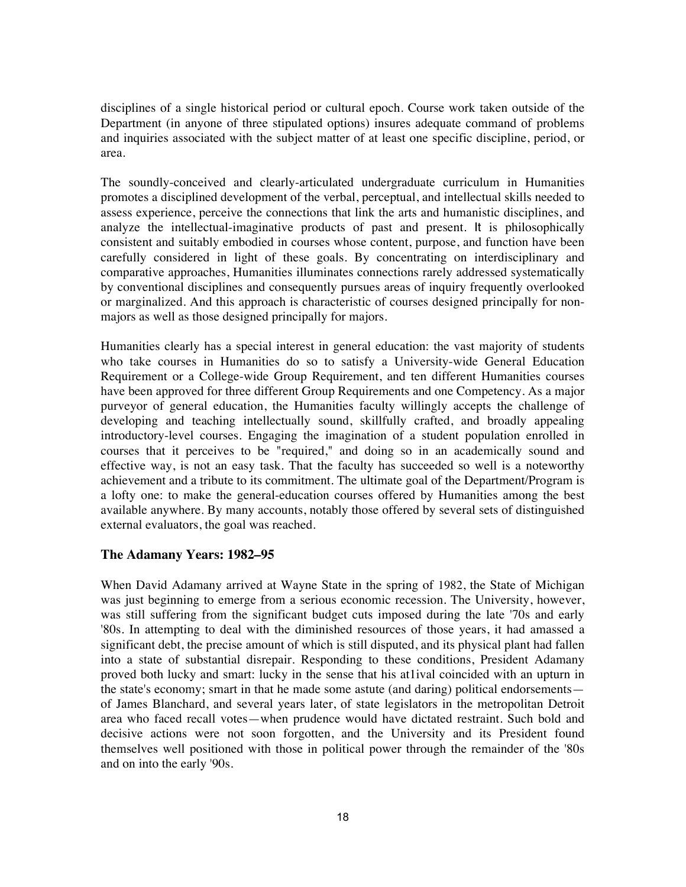disciplines of a single historical period or cultural epoch. Course work taken outside of the Department (in anyone of three stipulated options) insures adequate command of problems and inquiries associated with the subject matter of at least one specific discipline, period, or area.

The soundly-conceived and clearly-articulated undergraduate curriculum in Humanities promotes a disciplined development of the verbal, perceptual, and intellectual skills needed to assess experience, perceive the connections that link the arts and humanistic disciplines, and analyze the intellectual-imaginative products of past and present. It is philosophically consistent and suitably embodied in courses whose content, purpose, and function have been carefully considered in light of these goals. By concentrating on interdisciplinary and comparative approaches, Humanities illuminates connections rarely addressed systematically by conventional disciplines and consequently pursues areas of inquiry frequently overlooked or marginalized. And this approach is characteristic of courses designed principally for nonmajors as well as those designed principally for majors.

Humanities clearly has a special interest in general education: the vast majority of students who take courses in Humanities do so to satisfy a University-wide General Education Requirement or a College-wide Group Requirement, and ten different Humanities courses have been approved for three different Group Requirements and one Competency. As a major purveyor of general education, the Humanities faculty willingly accepts the challenge of developing and teaching intellectually sound, skillfully crafted, and broadly appealing introductory-level courses. Engaging the imagination of a student population enrolled in courses that it perceives to be "required," and doing so in an academically sound and effective way, is not an easy task. That the faculty has succeeded so well is a noteworthy achievement and a tribute to its commitment. The ultimate goal of the Department/Program is a lofty one: to make the general-education courses offered by Humanities among the best available anywhere. By many accounts, notably those offered by several sets of distinguished external evaluators, the goal was reached.

# **The Adamany Years: 1982–95**

When David Adamany arrived at Wayne State in the spring of 1982, the State of Michigan was just beginning to emerge from a serious economic recession. The University, however, was still suffering from the significant budget cuts imposed during the late '70s and early '80s. In attempting to deal with the diminished resources of those years, it had amassed a significant debt, the precise amount of which is still disputed, and its physical plant had fallen into a state of substantial disrepair. Responding to these conditions, President Adamany proved both lucky and smart: lucky in the sense that his at1ival coincided with an upturn in the state's economy; smart in that he made some astute (and daring) political endorsements of James Blanchard, and several years later, of state legislators in the metropolitan Detroit area who faced recall votes—when prudence would have dictated restraint. Such bold and decisive actions were not soon forgotten, and the University and its President found themselves well positioned with those in political power through the remainder of the '80s and on into the early '90s.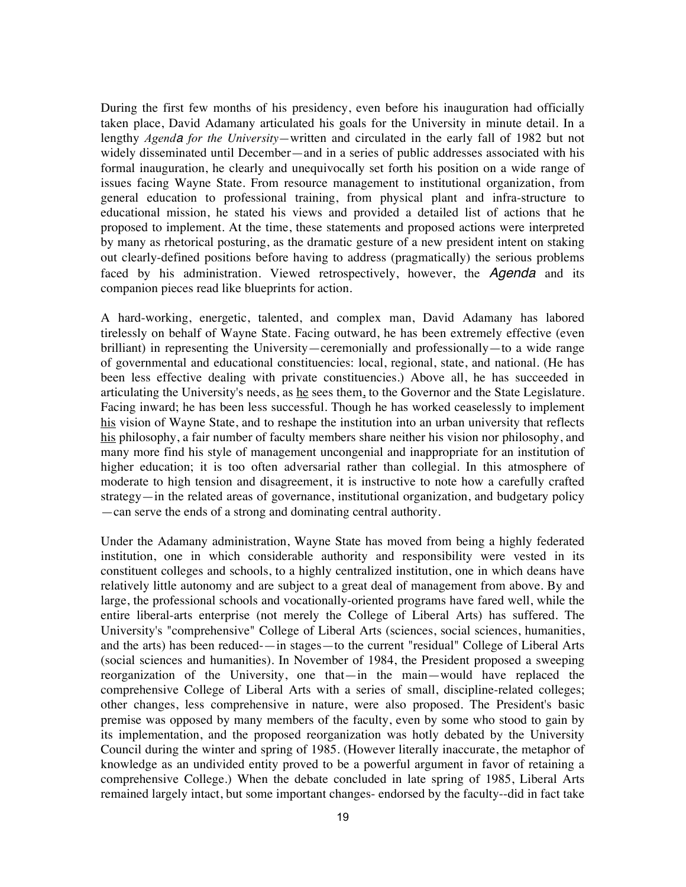During the first few months of his presidency, even before his inauguration had officially taken place, David Adamany articulated his goals for the University in minute detail. In a lengthy *Agenda for the University—*written and circulated in the early fall of 1982 but not widely disseminated until December—and in a series of public addresses associated with his formal inauguration, he clearly and unequivocally set forth his position on a wide range of issues facing Wayne State. From resource management to institutional organization, from general education to professional training, from physical plant and infra-structure to educational mission, he stated his views and provided a detailed list of actions that he proposed to implement. At the time, these statements and proposed actions were interpreted by many as rhetorical posturing, as the dramatic gesture of a new president intent on staking out clearly-defined positions before having to address (pragmatically) the serious problems faced by his administration. Viewed retrospectively, however, the *Agenda* and its companion pieces read like blueprints for action.

A hard-working, energetic, talented, and complex man, David Adamany has labored tirelessly on behalf of Wayne State. Facing outward, he has been extremely effective (even brilliant) in representing the University—ceremonially and professionally—to a wide range of governmental and educational constituencies: local, regional, state, and national. (He has been less effective dealing with private constituencies.) Above all, he has succeeded in articulating the University's needs, as he sees them, to the Governor and the State Legislature. Facing inward; he has been less successful. Though he has worked ceaselessly to implement his vision of Wayne State, and to reshape the institution into an urban university that reflects his philosophy, a fair number of faculty members share neither his vision nor philosophy, and many more find his style of management uncongenial and inappropriate for an institution of higher education; it is too often adversarial rather than collegial. In this atmosphere of moderate to high tension and disagreement, it is instructive to note how a carefully crafted strategy—in the related areas of governance, institutional organization, and budgetary policy —can serve the ends of a strong and dominating central authority.

Under the Adamany administration, Wayne State has moved from being a highly federated institution, one in which considerable authority and responsibility were vested in its constituent colleges and schools, to a highly centralized institution, one in which deans have relatively little autonomy and are subject to a great deal of management from above. By and large, the professional schools and vocationally-oriented programs have fared well, while the entire liberal-arts enterprise (not merely the College of Liberal Arts) has suffered. The University's "comprehensive" College of Liberal Arts (sciences, social sciences, humanities, and the arts) has been reduced-—in stages—to the current "residual" College of Liberal Arts (social sciences and humanities). In November of 1984, the President proposed a sweeping reorganization of the University, one that—in the main—would have replaced the comprehensive College of Liberal Arts with a series of small, discipline-related colleges; other changes, less comprehensive in nature, were also proposed. The President's basic premise was opposed by many members of the faculty, even by some who stood to gain by its implementation, and the proposed reorganization was hotly debated by the University Council during the winter and spring of 1985. (However literally inaccurate, the metaphor of knowledge as an undivided entity proved to be a powerful argument in favor of retaining a comprehensive College.) When the debate concluded in late spring of 1985, Liberal Arts remained largely intact, but some important changes- endorsed by the faculty--did in fact take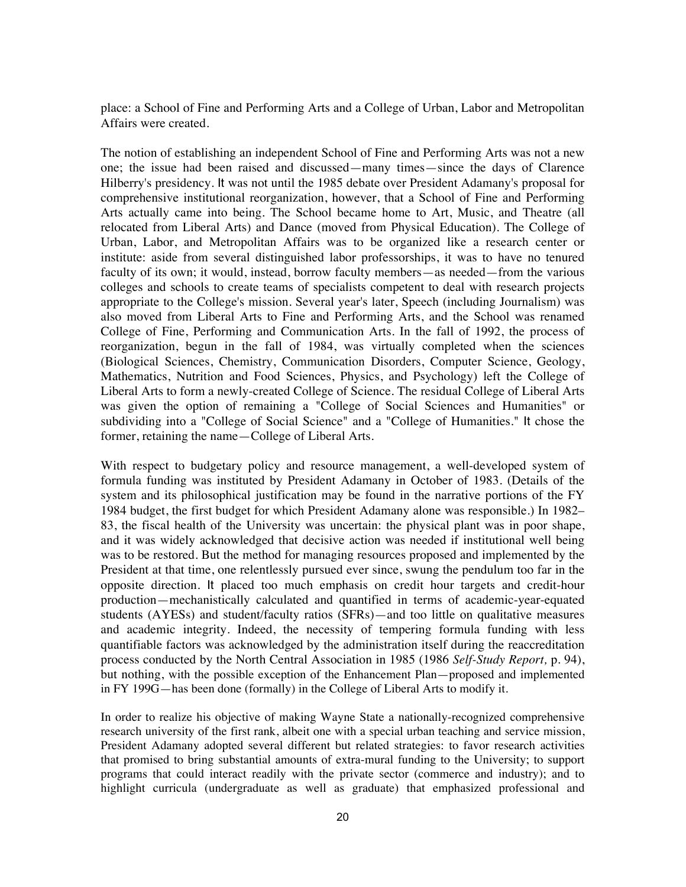place: a School of Fine and Performing Arts and a College of Urban, Labor and Metropolitan Affairs were created.

The notion of establishing an independent School of Fine and Performing Arts was not a new one; the issue had been raised and discussed—many times—since the days of Clarence Hilberry's presidency. It was not until the 1985 debate over President Adamany's proposal for comprehensive institutional reorganization, however, that a School of Fine and Performing Arts actually came into being. The School became home to Art, Music, and Theatre (all relocated from Liberal Arts) and Dance (moved from Physical Education). The College of Urban, Labor, and Metropolitan Affairs was to be organized like a research center or institute: aside from several distinguished labor professorships, it was to have no tenured faculty of its own; it would, instead, borrow faculty members—as needed—from the various colleges and schools to create teams of specialists competent to deal with research projects appropriate to the College's mission. Several year's later, Speech (including Journalism) was also moved from Liberal Arts to Fine and Performing Arts, and the School was renamed College of Fine, Performing and Communication Arts. In the fall of 1992, the process of reorganization, begun in the fall of 1984, was virtually completed when the sciences (Biological Sciences, Chemistry, Communication Disorders, Computer Science, Geology, Mathematics, Nutrition and Food Sciences, Physics, and Psychology) left the College of Liberal Arts to form a newly-created College of Science. The residual College of Liberal Arts was given the option of remaining a "College of Social Sciences and Humanities" or subdividing into a "College of Social Science" and a "College of Humanities." It chose the former, retaining the name—College of Liberal Arts.

With respect to budgetary policy and resource management, a well-developed system of formula funding was instituted by President Adamany in October of 1983. (Details of the system and its philosophical justification may be found in the narrative portions of the FY 1984 budget, the first budget for which President Adamany alone was responsible.) In 1982– 83, the fiscal health of the University was uncertain: the physical plant was in poor shape, and it was widely acknowledged that decisive action was needed if institutional well being was to be restored. But the method for managing resources proposed and implemented by the President at that time, one relentlessly pursued ever since, swung the pendulum too far in the opposite direction. It placed too much emphasis on credit hour targets and credit-hour production—mechanistically calculated and quantified in terms of academic-year-equated students (AYESs) and student/faculty ratios (SFRs)—and too little on qualitative measures and academic integrity. Indeed, the necessity of tempering formula funding with less quantifiable factors was acknowledged by the administration itself during the reaccreditation process conducted by the North Central Association in 1985 (1986 *Self-Study Report,* p. 94), but nothing, with the possible exception of the Enhancement Plan—proposed and implemented in FY 199G—has been done (formally) in the College of Liberal Arts to modify it.

In order to realize his objective of making Wayne State a nationally-recognized comprehensive research university of the first rank, albeit one with a special urban teaching and service mission, President Adamany adopted several different but related strategies: to favor research activities that promised to bring substantial amounts of extra-mural funding to the University; to support programs that could interact readily with the private sector (commerce and industry); and to highlight curricula (undergraduate as well as graduate) that emphasized professional and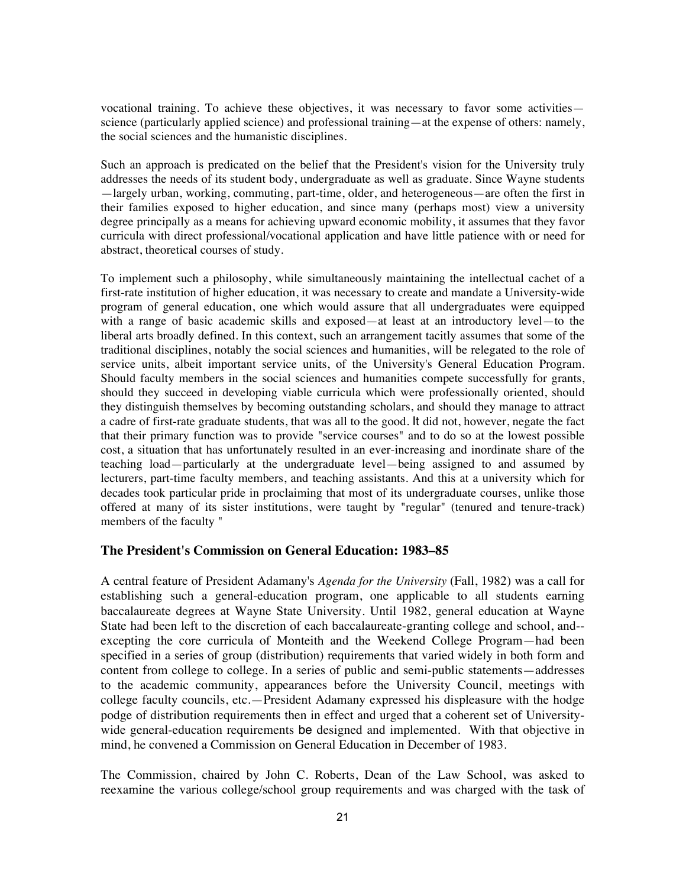vocational training. To achieve these objectives, it was necessary to favor some activities science (particularly applied science) and professional training—at the expense of others: namely, the social sciences and the humanistic disciplines.

Such an approach is predicated on the belief that the President's vision for the University truly addresses the needs of its student body, undergraduate as well as graduate. Since Wayne students —largely urban, working, commuting, part-time, older, and heterogeneous—are often the first in their families exposed to higher education, and since many (perhaps most) view a university degree principally as a means for achieving upward economic mobility, it assumes that they favor curricula with direct professional/vocational application and have little patience with or need for abstract, theoretical courses of study.

To implement such a philosophy, while simultaneously maintaining the intellectual cachet of a first-rate institution of higher education, it was necessary to create and mandate a University-wide program of general education, one which would assure that all undergraduates were equipped with a range of basic academic skills and exposed—at least at an introductory level—to the liberal arts broadly defined. In this context, such an arrangement tacitly assumes that some of the traditional disciplines, notably the social sciences and humanities, will be relegated to the role of service units, albeit important service units, of the University's General Education Program. Should faculty members in the social sciences and humanities compete successfully for grants, should they succeed in developing viable curricula which were professionally oriented, should they distinguish themselves by becoming outstanding scholars, and should they manage to attract a cadre of first-rate graduate students, that was all to the good. It did not, however, negate the fact that their primary function was to provide "service courses" and to do so at the lowest possible cost, a situation that has unfortunately resulted in an ever-increasing and inordinate share of the teaching load—particularly at the undergraduate level—being assigned to and assumed by lecturers, part-time faculty members, and teaching assistants. And this at a university which for decades took particular pride in proclaiming that most of its undergraduate courses, unlike those offered at many of its sister institutions, were taught by "regular" (tenured and tenure-track) members of the faculty "

#### **The President's Commission on General Education: 1983–85**

A central feature of President Adamany's *Agenda for the University* (Fall, 1982) was a call for establishing such a general-education program, one applicable to all students earning baccalaureate degrees at Wayne State University. Until 1982, general education at Wayne State had been left to the discretion of each baccalaureate-granting college and school, and- excepting the core curricula of Monteith and the Weekend College Program—had been specified in a series of group (distribution) requirements that varied widely in both form and content from college to college. In a series of public and semi-public statements—addresses to the academic community, appearances before the University Council, meetings with college faculty councils, etc.—President Adamany expressed his displeasure with the hodge podge of distribution requirements then in effect and urged that a coherent set of Universitywide general-education requirements be designed and implemented. With that objective in mind, he convened a Commission on General Education in December of 1983.

The Commission, chaired by John C. Roberts, Dean of the Law School, was asked to reexamine the various college/school group requirements and was charged with the task of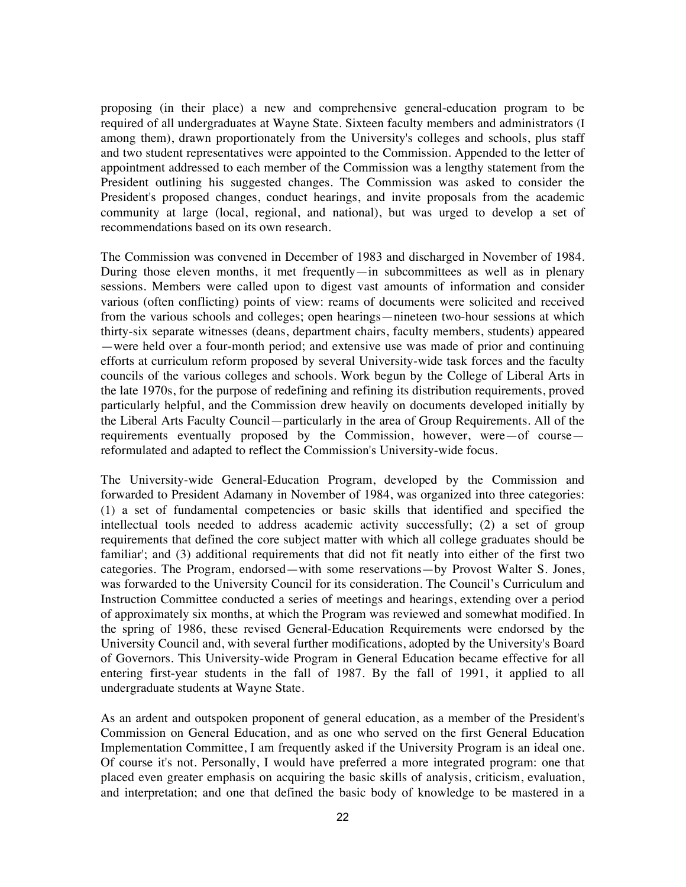proposing (in their place) a new and comprehensive general-education program to be required of all undergraduates at Wayne State. Sixteen faculty members and administrators (I among them), drawn proportionately from the University's colleges and schools, plus staff and two student representatives were appointed to the Commission. Appended to the letter of appointment addressed to each member of the Commission was a lengthy statement from the President outlining his suggested changes. The Commission was asked to consider the President's proposed changes, conduct hearings, and invite proposals from the academic community at large (local, regional, and national), but was urged to develop a set of recommendations based on its own research.

The Commission was convened in December of 1983 and discharged in November of 1984. During those eleven months, it met frequently—in subcommittees as well as in plenary sessions. Members were called upon to digest vast amounts of information and consider various (often conflicting) points of view: reams of documents were solicited and received from the various schools and colleges; open hearings—nineteen two-hour sessions at which thirty-six separate witnesses (deans, department chairs, faculty members, students) appeared —were held over a four-month period; and extensive use was made of prior and continuing efforts at curriculum reform proposed by several University-wide task forces and the faculty councils of the various colleges and schools. Work begun by the College of Liberal Arts in the late 1970s, for the purpose of redefining and refining its distribution requirements, proved particularly helpful, and the Commission drew heavily on documents developed initially by the Liberal Arts Faculty Council—particularly in the area of Group Requirements. All of the requirements eventually proposed by the Commission, however, were—of course reformulated and adapted to reflect the Commission's University-wide focus.

The University-wide General-Education Program, developed by the Commission and forwarded to President Adamany in November of 1984, was organized into three categories: (1) a set of fundamental competencies or basic skills that identified and specified the intellectual tools needed to address academic activity successfully; (2) a set of group requirements that defined the core subject matter with which all college graduates should be familiar'; and (3) additional requirements that did not fit neatly into either of the first two categories. The Program, endorsed—with some reservations—by Provost Walter S. Jones, was forwarded to the University Council for its consideration. The Council's Curriculum and Instruction Committee conducted a series of meetings and hearings, extending over a period of approximately six months, at which the Program was reviewed and somewhat modified. In the spring of 1986, these revised General-Education Requirements were endorsed by the University Council and, with several further modifications, adopted by the University's Board of Governors. This University-wide Program in General Education became effective for all entering first-year students in the fall of 1987. By the fall of 1991, it applied to all undergraduate students at Wayne State.

As an ardent and outspoken proponent of general education, as a member of the President's Commission on General Education, and as one who served on the first General Education Implementation Committee, I am frequently asked if the University Program is an ideal one. Of course it's not. Personally, I would have preferred a more integrated program: one that placed even greater emphasis on acquiring the basic skills of analysis, criticism, evaluation, and interpretation; and one that defined the basic body of knowledge to be mastered in a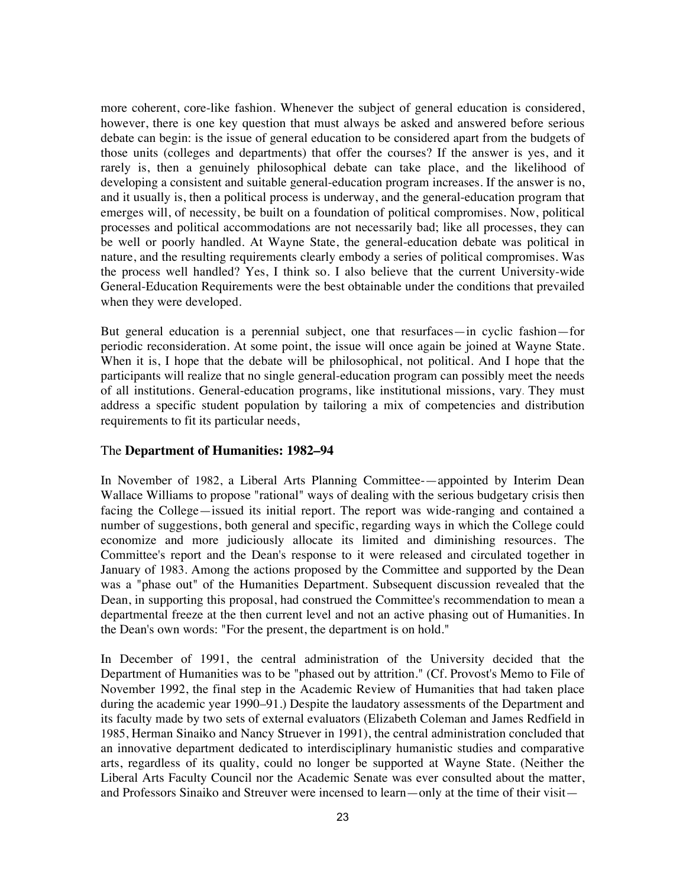more coherent, core-like fashion. Whenever the subject of general education is considered, however, there is one key question that must always be asked and answered before serious debate can begin: is the issue of general education to be considered apart from the budgets of those units (colleges and departments) that offer the courses? If the answer is yes, and it rarely is, then a genuinely philosophical debate can take place, and the likelihood of developing a consistent and suitable general-education program increases. If the answer is no, and it usually is, then a political process is underway, and the general-education program that emerges will, of necessity, be built on a foundation of political compromises. Now, political processes and political accommodations are not necessarily bad; like all processes, they can be well or poorly handled. At Wayne State, the general-education debate was political in nature, and the resulting requirements clearly embody a series of political compromises. Was the process well handled? Yes, I think so. I also believe that the current University-wide General-Education Requirements were the best obtainable under the conditions that prevailed when they were developed.

But general education is a perennial subject, one that resurfaces—in cyclic fashion—for periodic reconsideration. At some point, the issue will once again be joined at Wayne State. When it is, I hope that the debate will be philosophical, not political. And I hope that the participants will realize that no single general-education program can possibly meet the needs of all institutions. General-education programs, like institutional missions, vary. They must address a specific student population by tailoring a mix of competencies and distribution requirements to fit its particular needs,

# The **Department of Humanities: 1982–94**

In November of 1982, a Liberal Arts Planning Committee-—appointed by Interim Dean Wallace Williams to propose "rational" ways of dealing with the serious budgetary crisis then facing the College—issued its initial report. The report was wide-ranging and contained a number of suggestions, both general and specific, regarding ways in which the College could economize and more judiciously allocate its limited and diminishing resources. The Committee's report and the Dean's response to it were released and circulated together in January of 1983. Among the actions proposed by the Committee and supported by the Dean was a "phase out" of the Humanities Department. Subsequent discussion revealed that the Dean, in supporting this proposal, had construed the Committee's recommendation to mean a departmental freeze at the then current level and not an active phasing out of Humanities. In the Dean's own words: "For the present, the department is on hold."

In December of 1991, the central administration of the University decided that the Department of Humanities was to be "phased out by attrition." (Cf. Provost's Memo to File of November 1992, the final step in the Academic Review of Humanities that had taken place during the academic year 1990–91.) Despite the laudatory assessments of the Department and its faculty made by two sets of external evaluators (Elizabeth Coleman and James Redfield in 1985, Herman Sinaiko and Nancy Struever in 1991), the central administration concluded that an innovative department dedicated to interdisciplinary humanistic studies and comparative arts, regardless of its quality, could no longer be supported at Wayne State. (Neither the Liberal Arts Faculty Council nor the Academic Senate was ever consulted about the matter, and Professors Sinaiko and Streuver were incensed to learn—only at the time of their visit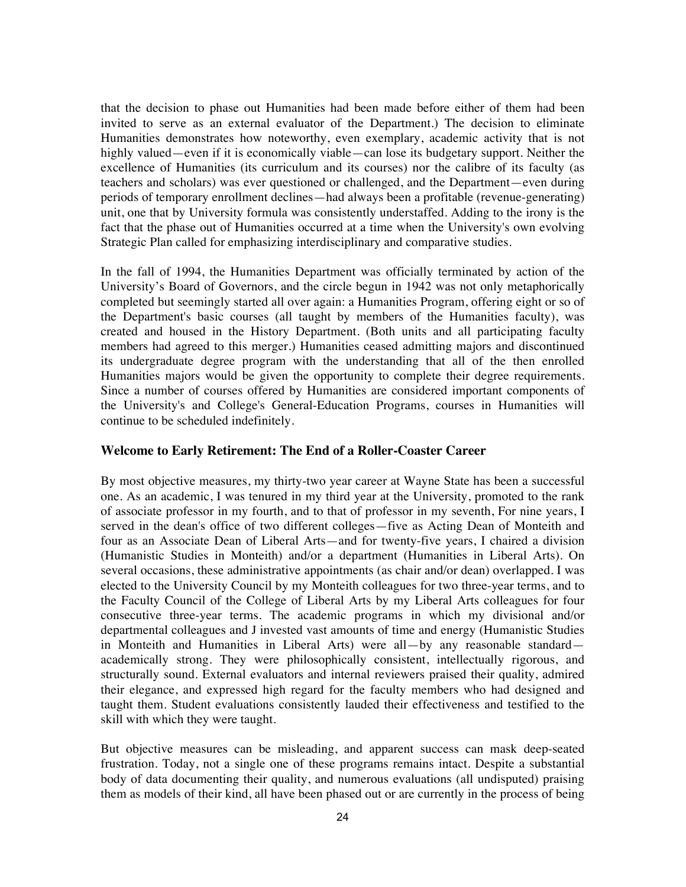that the decision to phase out Humanities had been made before either of them had been invited to serve as an external evaluator of the Department.) The decision to eliminate Humanities demonstrates how noteworthy, even exemplary, academic activity that is not highly valued—even if it is economically viable—can lose its budgetary support. Neither the excellence of Humanities (its curriculum and its courses) nor the calibre of its faculty (as teachers and scholars) was ever questioned or challenged, and the Department—even during periods of temporary enrollment declines—had always been a profitable (revenue-generating) unit, one that by University formula was consistently understaffed. Adding to the irony is the fact that the phase out of Humanities occurred at a time when the University's own evolving Strategic Plan called for emphasizing interdisciplinary and comparative studies.

In the fall of 1994, the Humanities Department was officially terminated by action of the University's Board of Governors, and the circle begun in 1942 was not only metaphorically completed but seemingly started all over again: a Humanities Program, offering eight or so of the Department's basic courses (all taught by members of the Humanities faculty), was created and housed in the History Department. (Both units and all participating faculty members had agreed to this merger.) Humanities ceased admitting majors and discontinued its undergraduate degree program with the understanding that all of the then enrolled Humanities majors would be given the opportunity to complete their degree requirements. Since a number of courses offered by Humanities are considered important components of the University's and College's General-Education Programs, courses in Humanities will continue to be scheduled indefinitely.

## **Welcome to Early Retirement: The End of a Roller-Coaster Career**

By most objective measures, my thirty-two year career at Wayne State has been a successful one. As an academic, I was tenured in my third year at the University, promoted to the rank of associate professor in my fourth, and to that of professor in my seventh, For nine years, I served in the dean's office of two different colleges—five as Acting Dean of Monteith and four as an Associate Dean of Liberal Arts—and for twenty-five years, I chaired a division (Humanistic Studies in Monteith) and/or a department (Humanities in Liberal Arts). On several occasions, these administrative appointments (as chair and/or dean) overlapped. I was elected to the University Council by my Monteith colleagues for two three-year terms, and to the Faculty Council of the College of Liberal Arts by my Liberal Arts colleagues for four consecutive three-year terms. The academic programs in which my divisional and/or departmental colleagues and J invested vast amounts of time and energy (Humanistic Studies in Monteith and Humanities in Liberal Arts) were all—by any reasonable standard academically strong. They were philosophically consistent, intellectually rigorous, and structurally sound. External evaluators and internal reviewers praised their quality, admired their elegance, and expressed high regard for the faculty members who had designed and taught them. Student evaluations consistently lauded their effectiveness and testified to the skill with which they were taught.

But objective measures can be misleading, and apparent success can mask deep-seated frustration. Today, not a single one of these programs remains intact. Despite a substantial body of data documenting their quality, and numerous evaluations (all undisputed) praising them as models of their kind, all have been phased out or are currently in the process of being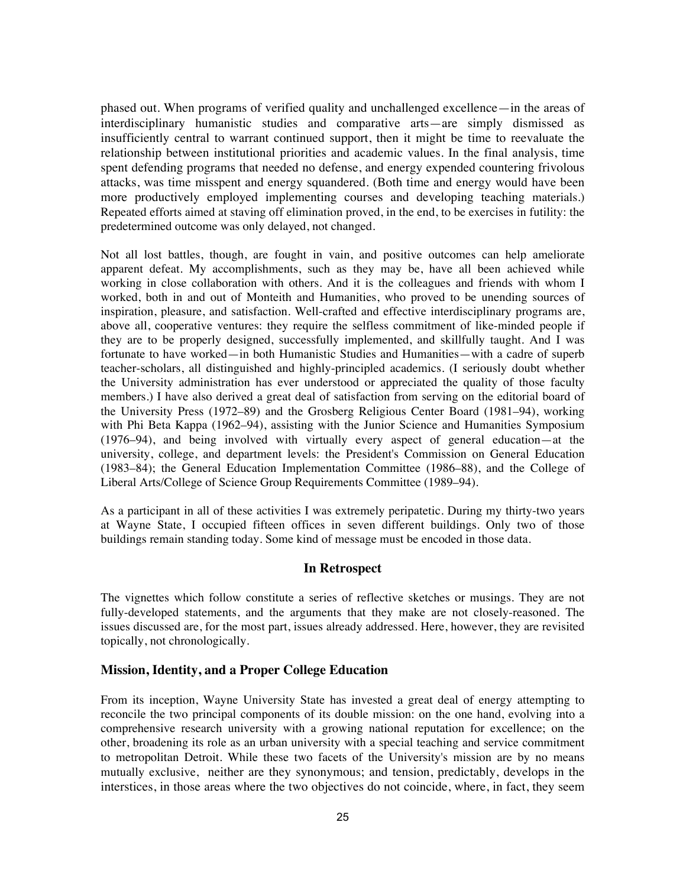phased out. When programs of verified quality and unchallenged excellence—in the areas of interdisciplinary humanistic studies and comparative arts—are simply dismissed as insufficiently central to warrant continued support, then it might be time to reevaluate the relationship between institutional priorities and academic values. In the final analysis, time spent defending programs that needed no defense, and energy expended countering frivolous attacks, was time misspent and energy squandered. (Both time and energy would have been more productively employed implementing courses and developing teaching materials.) Repeated efforts aimed at staving off elimination proved, in the end, to be exercises in futility: the predetermined outcome was only delayed, not changed.

Not all lost battles, though, are fought in vain, and positive outcomes can help ameliorate apparent defeat. My accomplishments, such as they may be, have all been achieved while working in close collaboration with others. And it is the colleagues and friends with whom I worked, both in and out of Monteith and Humanities, who proved to be unending sources of inspiration, pleasure, and satisfaction. Well-crafted and effective interdisciplinary programs are, above all, cooperative ventures: they require the selfless commitment of like-minded people if they are to be properly designed, successfully implemented, and skillfully taught. And I was fortunate to have worked—in both Humanistic Studies and Humanities—with a cadre of superb teacher-scholars, all distinguished and highly-principled academics. (I seriously doubt whether the University administration has ever understood or appreciated the quality of those faculty members.) I have also derived a great deal of satisfaction from serving on the editorial board of the University Press (1972–89) and the Grosberg Religious Center Board (1981–94), working with Phi Beta Kappa (1962–94), assisting with the Junior Science and Humanities Symposium (1976–94), and being involved with virtually every aspect of general education—at the university, college, and department levels: the President's Commission on General Education (1983–84); the General Education Implementation Committee (1986–88), and the College of Liberal Arts/College of Science Group Requirements Committee (1989–94).

As a participant in all of these activities I was extremely peripatetic. During my thirty-two years at Wayne State, I occupied fifteen offices in seven different buildings. Only two of those buildings remain standing today. Some kind of message must be encoded in those data.

# **In Retrospect**

The vignettes which follow constitute a series of reflective sketches or musings. They are not fully-developed statements, and the arguments that they make are not closely-reasoned. The issues discussed are, for the most part, issues already addressed. Here, however, they are revisited topically, not chronologically.

#### **Mission, Identity, and a Proper College Education**

From its inception, Wayne University State has invested a great deal of energy attempting to reconcile the two principal components of its double mission: on the one hand, evolving into a comprehensive research university with a growing national reputation for excellence; on the other, broadening its role as an urban university with a special teaching and service commitment to metropolitan Detroit. While these two facets of the University's mission are by no means mutually exclusive, neither are they synonymous; and tension, predictably, develops in the interstices, in those areas where the two objectives do not coincide, where, in fact, they seem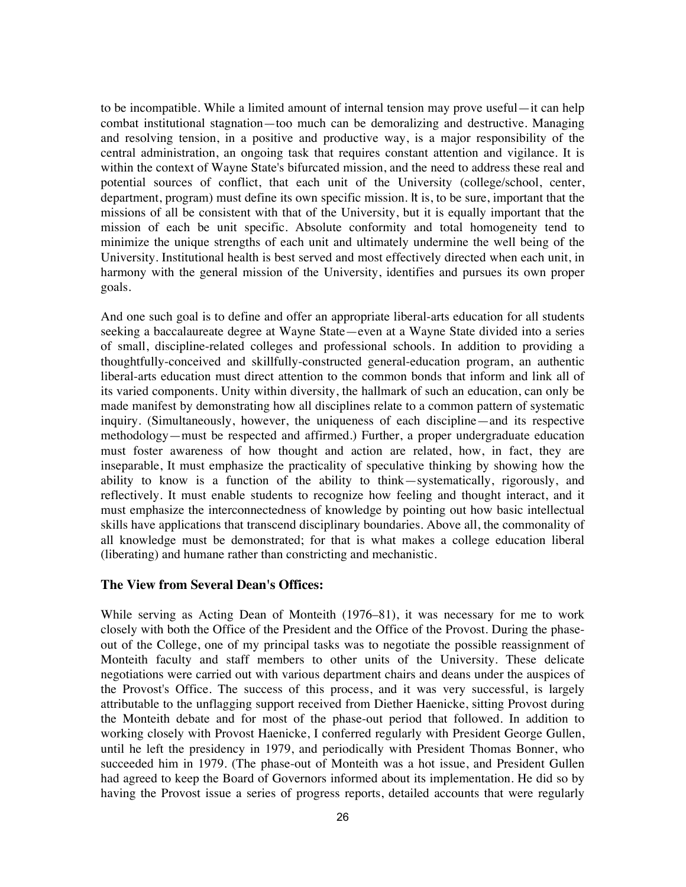to be incompatible. While a limited amount of internal tension may prove useful—it can help combat institutional stagnation—too much can be demoralizing and destructive. Managing and resolving tension, in a positive and productive way, is a major responsibility of the central administration, an ongoing task that requires constant attention and vigilance. It is within the context of Wayne State's bifurcated mission, and the need to address these real and potential sources of conflict, that each unit of the University (college/school, center, department, program) must define its own specific mission. It is, to be sure, important that the missions of all be consistent with that of the University, but it is equally important that the mission of each be unit specific. Absolute conformity and total homogeneity tend to minimize the unique strengths of each unit and ultimately undermine the well being of the University. Institutional health is best served and most effectively directed when each unit, in harmony with the general mission of the University, identifies and pursues its own proper goals.

And one such goal is to define and offer an appropriate liberal-arts education for all students seeking a baccalaureate degree at Wayne State—even at a Wayne State divided into a series of small, discipline-related colleges and professional schools. In addition to providing a thoughtfully-conceived and skillfully-constructed general-education program, an authentic liberal-arts education must direct attention to the common bonds that inform and link all of its varied components. Unity within diversity, the hallmark of such an education, can only be made manifest by demonstrating how all disciplines relate to a common pattern of systematic inquiry. (Simultaneously, however, the uniqueness of each discipline—and its respective methodology—must be respected and affirmed.) Further, a proper undergraduate education must foster awareness of how thought and action are related, how, in fact, they are inseparable, It must emphasize the practicality of speculative thinking by showing how the ability to know is a function of the ability to think—systematically, rigorously, and reflectively. It must enable students to recognize how feeling and thought interact, and it must emphasize the interconnectedness of knowledge by pointing out how basic intellectual skills have applications that transcend disciplinary boundaries. Above all, the commonality of all knowledge must be demonstrated; for that is what makes a college education liberal (liberating) and humane rather than constricting and mechanistic.

# **The View from Several Dean's Offices:**

While serving as Acting Dean of Monteith (1976–81), it was necessary for me to work closely with both the Office of the President and the Office of the Provost. During the phaseout of the College, one of my principal tasks was to negotiate the possible reassignment of Monteith faculty and staff members to other units of the University. These delicate negotiations were carried out with various department chairs and deans under the auspices of the Provost's Office. The success of this process, and it was very successful, is largely attributable to the unflagging support received from Diether Haenicke, sitting Provost during the Monteith debate and for most of the phase-out period that followed. In addition to working closely with Provost Haenicke, I conferred regularly with President George Gullen, until he left the presidency in 1979, and periodically with President Thomas Bonner, who succeeded him in 1979. (The phase-out of Monteith was a hot issue, and President Gullen had agreed to keep the Board of Governors informed about its implementation. He did so by having the Provost issue a series of progress reports, detailed accounts that were regularly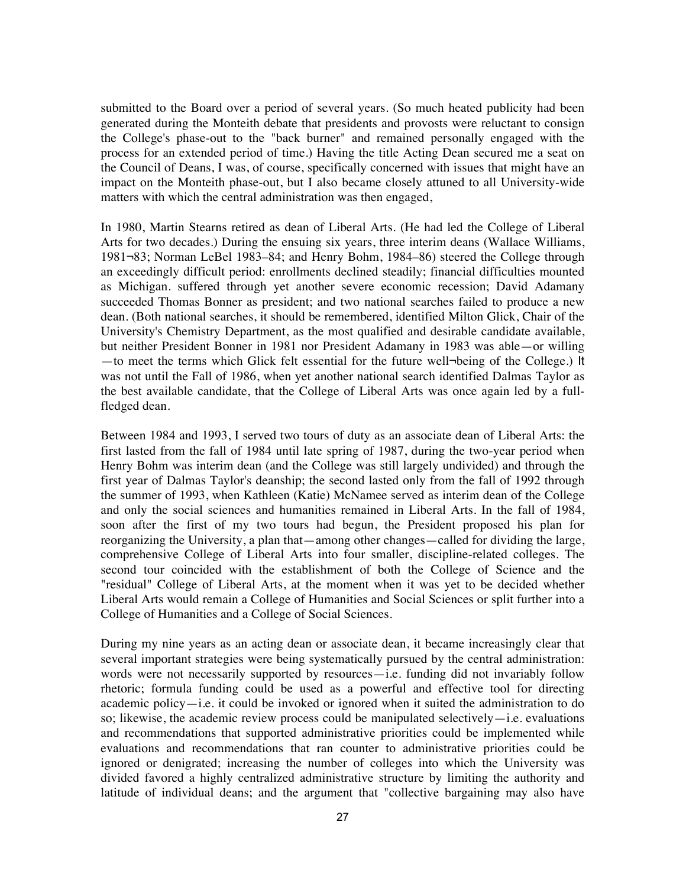submitted to the Board over a period of several years. (So much heated publicity had been generated during the Monteith debate that presidents and provosts were reluctant to consign the College's phase-out to the "back burner" and remained personally engaged with the process for an extended period of time.) Having the title Acting Dean secured me a seat on the Council of Deans, I was, of course, specifically concerned with issues that might have an impact on the Monteith phase-out, but I also became closely attuned to all University-wide matters with which the central administration was then engaged,

In 1980, Martin Stearns retired as dean of Liberal Arts. (He had led the College of Liberal Arts for two decades.) During the ensuing six years, three interim deans (Wallace Williams, 1981¬83; Norman LeBel 1983–84; and Henry Bohm, 1984–86) steered the College through an exceedingly difficult period: enrollments declined steadily; financial difficulties mounted as Michigan. suffered through yet another severe economic recession; David Adamany succeeded Thomas Bonner as president; and two national searches failed to produce a new dean. (Both national searches, it should be remembered, identified Milton Glick, Chair of the University's Chemistry Department, as the most qualified and desirable candidate available, but neither President Bonner in 1981 nor President Adamany in 1983 was able—or willing —to meet the terms which Glick felt essential for the future well¬being of the College.) It was not until the Fall of 1986, when yet another national search identified Dalmas Taylor as the best available candidate, that the College of Liberal Arts was once again led by a fullfledged dean.

Between 1984 and 1993, I served two tours of duty as an associate dean of Liberal Arts: the first lasted from the fall of 1984 until late spring of 1987, during the two-year period when Henry Bohm was interim dean (and the College was still largely undivided) and through the first year of Dalmas Taylor's deanship; the second lasted only from the fall of 1992 through the summer of 1993, when Kathleen (Katie) McNamee served as interim dean of the College and only the social sciences and humanities remained in Liberal Arts. In the fall of 1984, soon after the first of my two tours had begun, the President proposed his plan for reorganizing the University, a plan that—among other changes—called for dividing the large, comprehensive College of Liberal Arts into four smaller, discipline-related colleges. The second tour coincided with the establishment of both the College of Science and the "residual" College of Liberal Arts, at the moment when it was yet to be decided whether Liberal Arts would remain a College of Humanities and Social Sciences or split further into a College of Humanities and a College of Social Sciences.

During my nine years as an acting dean or associate dean, it became increasingly clear that several important strategies were being systematically pursued by the central administration: words were not necessarily supported by resources—i.e. funding did not invariably follow rhetoric; formula funding could be used as a powerful and effective tool for directing academic policy—i.e. it could be invoked or ignored when it suited the administration to do so; likewise, the academic review process could be manipulated selectively—i.e. evaluations and recommendations that supported administrative priorities could be implemented while evaluations and recommendations that ran counter to administrative priorities could be ignored or denigrated; increasing the number of colleges into which the University was divided favored a highly centralized administrative structure by limiting the authority and latitude of individual deans; and the argument that "collective bargaining may also have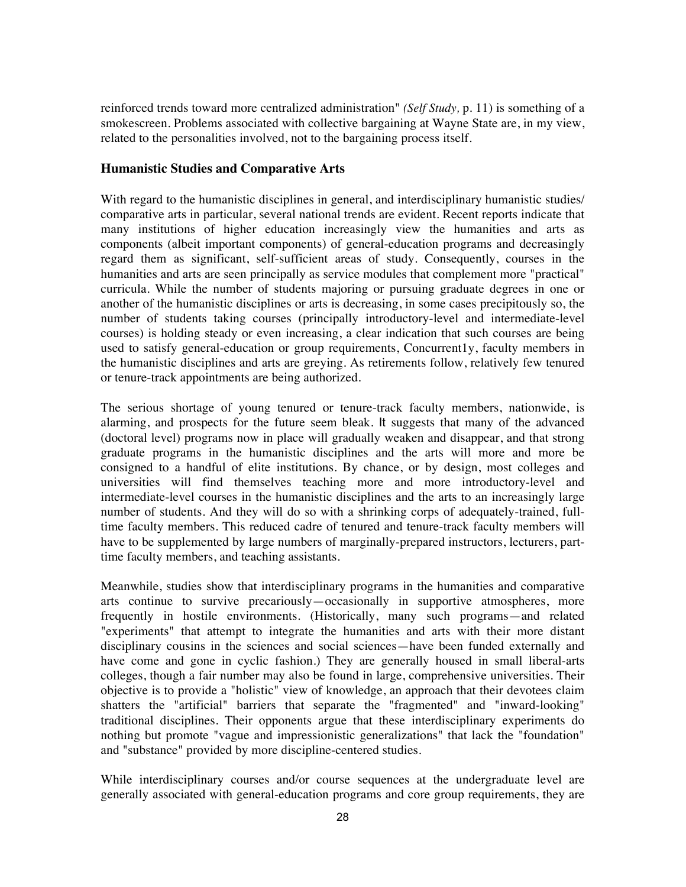reinforced trends toward more centralized administration" *(Self Study,* p. 11) is something of a smokescreen. Problems associated with collective bargaining at Wayne State are, in my view, related to the personalities involved, not to the bargaining process itself.

## **Humanistic Studies and Comparative Arts**

With regard to the humanistic disciplines in general, and interdisciplinary humanistic studies/ comparative arts in particular, several national trends are evident. Recent reports indicate that many institutions of higher education increasingly view the humanities and arts as components (albeit important components) of general-education programs and decreasingly regard them as significant, self-sufficient areas of study. Consequently, courses in the humanities and arts are seen principally as service modules that complement more "practical" curricula. While the number of students majoring or pursuing graduate degrees in one or another of the humanistic disciplines or arts is decreasing, in some cases precipitously so, the number of students taking courses (principally introductory-level and intermediate-level courses) is holding steady or even increasing, a clear indication that such courses are being used to satisfy general-education or group requirements, Concurrent1y, faculty members in the humanistic disciplines and arts are greying. As retirements follow, relatively few tenured or tenure-track appointments are being authorized.

The serious shortage of young tenured or tenure-track faculty members, nationwide, is alarming, and prospects for the future seem bleak. It suggests that many of the advanced (doctoral level) programs now in place will gradually weaken and disappear, and that strong graduate programs in the humanistic disciplines and the arts will more and more be consigned to a handful of elite institutions. By chance, or by design, most colleges and universities will find themselves teaching more and more introductory-level and intermediate-level courses in the humanistic disciplines and the arts to an increasingly large number of students. And they will do so with a shrinking corps of adequately-trained, fulltime faculty members. This reduced cadre of tenured and tenure-track faculty members will have to be supplemented by large numbers of marginally-prepared instructors, lecturers, parttime faculty members, and teaching assistants.

Meanwhile, studies show that interdisciplinary programs in the humanities and comparative arts continue to survive precariously—occasionally in supportive atmospheres, more frequently in hostile environments. (Historically, many such programs—and related "experiments" that attempt to integrate the humanities and arts with their more distant disciplinary cousins in the sciences and social sciences—have been funded externally and have come and gone in cyclic fashion.) They are generally housed in small liberal-arts colleges, though a fair number may also be found in large, comprehensive universities. Their objective is to provide a "holistic" view of knowledge, an approach that their devotees claim shatters the "artificial" barriers that separate the "fragmented" and "inward-looking" traditional disciplines. Their opponents argue that these interdisciplinary experiments do nothing but promote "vague and impressionistic generalizations" that lack the "foundation" and "substance" provided by more discipline-centered studies.

While interdisciplinary courses and/or course sequences at the undergraduate level are generally associated with general-education programs and core group requirements, they are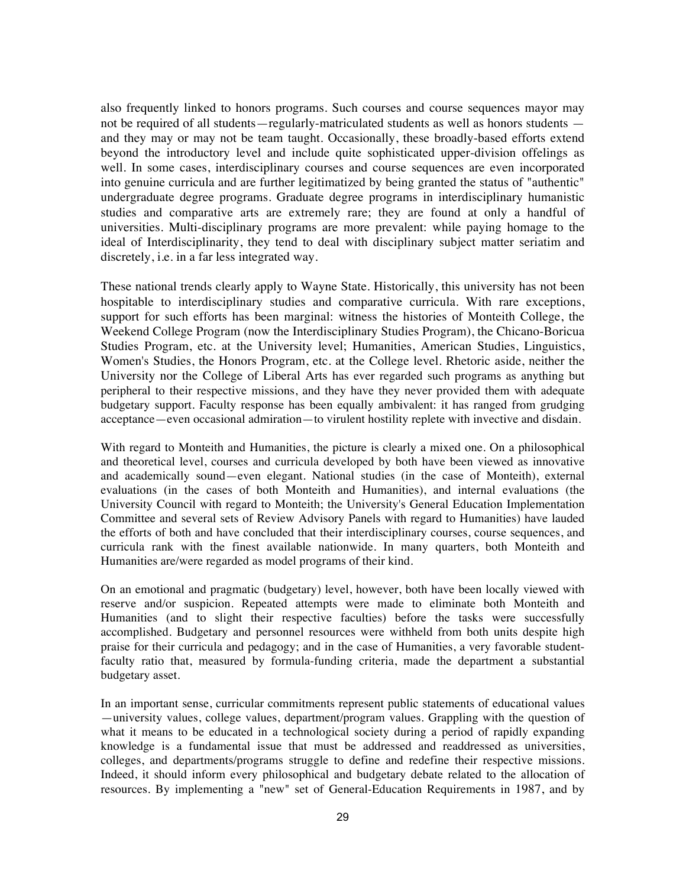also frequently linked to honors programs. Such courses and course sequences mayor may not be required of all students—regularly-matriculated students as well as honors students and they may or may not be team taught. Occasionally, these broadly-based efforts extend beyond the introductory level and include quite sophisticated upper-division offelings as well. In some cases, interdisciplinary courses and course sequences are even incorporated into genuine curricula and are further legitimatized by being granted the status of "authentic" undergraduate degree programs. Graduate degree programs in interdisciplinary humanistic studies and comparative arts are extremely rare; they are found at only a handful of universities. Multi-disciplinary programs are more prevalent: while paying homage to the ideal of Interdisciplinarity, they tend to deal with disciplinary subject matter seriatim and discretely, i.e. in a far less integrated way.

These national trends clearly apply to Wayne State. Historically, this university has not been hospitable to interdisciplinary studies and comparative curricula. With rare exceptions, support for such efforts has been marginal: witness the histories of Monteith College, the Weekend College Program (now the Interdisciplinary Studies Program), the Chicano-Boricua Studies Program, etc. at the University level; Humanities, American Studies, Linguistics, Women's Studies, the Honors Program, etc. at the College level. Rhetoric aside, neither the University nor the College of Liberal Arts has ever regarded such programs as anything but peripheral to their respective missions, and they have they never provided them with adequate budgetary support. Faculty response has been equally ambivalent: it has ranged from grudging acceptance—even occasional admiration—to virulent hostility replete with invective and disdain.

With regard to Monteith and Humanities, the picture is clearly a mixed one. On a philosophical and theoretical level, courses and curricula developed by both have been viewed as innovative and academically sound—even elegant. National studies (in the case of Monteith), external evaluations (in the cases of both Monteith and Humanities), and internal evaluations (the University Council with regard to Monteith; the University's General Education Implementation Committee and several sets of Review Advisory Panels with regard to Humanities) have lauded the efforts of both and have concluded that their interdisciplinary courses, course sequences, and curricula rank with the finest available nationwide. In many quarters, both Monteith and Humanities are/were regarded as model programs of their kind.

On an emotional and pragmatic (budgetary) level, however, both have been locally viewed with reserve and/or suspicion. Repeated attempts were made to eliminate both Monteith and Humanities (and to slight their respective faculties) before the tasks were successfully accomplished. Budgetary and personnel resources were withheld from both units despite high praise for their curricula and pedagogy; and in the case of Humanities, a very favorable studentfaculty ratio that, measured by formula-funding criteria, made the department a substantial budgetary asset.

In an important sense, curricular commitments represent public statements of educational values —university values, college values, department/program values. Grappling with the question of what it means to be educated in a technological society during a period of rapidly expanding knowledge is a fundamental issue that must be addressed and readdressed as universities, colleges, and departments/programs struggle to define and redefine their respective missions. Indeed, it should inform every philosophical and budgetary debate related to the allocation of resources. By implementing a "new" set of General-Education Requirements in 1987, and by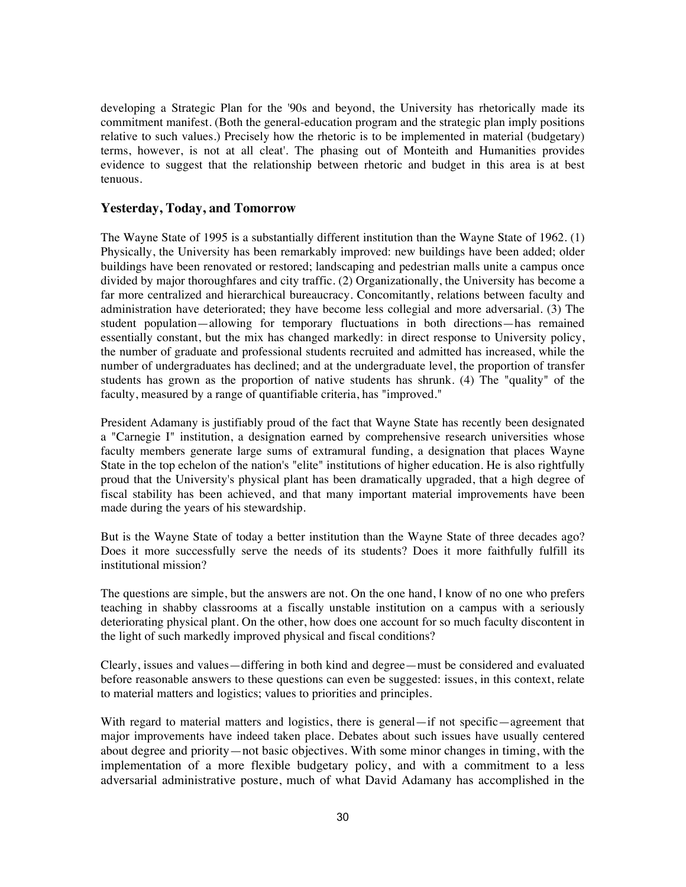developing a Strategic Plan for the '90s and beyond, the University has rhetorically made its commitment manifest. (Both the general-education program and the strategic plan imply positions relative to such values.) Precisely how the rhetoric is to be implemented in material (budgetary) terms, however, is not at all cleat'. The phasing out of Monteith and Humanities provides evidence to suggest that the relationship between rhetoric and budget in this area is at best tenuous.

# **Yesterday, Today, and Tomorrow**

The Wayne State of 1995 is a substantially different institution than the Wayne State of 1962. (1) Physically, the University has been remarkably improved: new buildings have been added; older buildings have been renovated or restored; landscaping and pedestrian malls unite a campus once divided by major thoroughfares and city traffic. (2) Organizationally, the University has become a far more centralized and hierarchical bureaucracy. Concomitantly, relations between faculty and administration have deteriorated; they have become less collegial and more adversarial. (3) The student population—allowing for temporary fluctuations in both directions—has remained essentially constant, but the mix has changed markedly: in direct response to University policy, the number of graduate and professional students recruited and admitted has increased, while the number of undergraduates has declined; and at the undergraduate level, the proportion of transfer students has grown as the proportion of native students has shrunk. (4) The "quality" of the faculty, measured by a range of quantifiable criteria, has "improved."

President Adamany is justifiably proud of the fact that Wayne State has recently been designated a "Carnegie I" institution, a designation earned by comprehensive research universities whose faculty members generate large sums of extramural funding, a designation that places Wayne State in the top echelon of the nation's "elite" institutions of higher education. He is also rightfully proud that the University's physical plant has been dramatically upgraded, that a high degree of fiscal stability has been achieved, and that many important material improvements have been made during the years of his stewardship.

But is the Wayne State of today a better institution than the Wayne State of three decades ago? Does it more successfully serve the needs of its students? Does it more faithfully fulfill its institutional mission?

The questions are simple, but the answers are not. On the one hand, I know of no one who prefers teaching in shabby classrooms at a fiscally unstable institution on a campus with a seriously deteriorating physical plant. On the other, how does one account for so much faculty discontent in the light of such markedly improved physical and fiscal conditions?

Clearly, issues and values—differing in both kind and degree—must be considered and evaluated before reasonable answers to these questions can even be suggested: issues, in this context, relate to material matters and logistics; values to priorities and principles.

With regard to material matters and logistics, there is general—if not specific—agreement that major improvements have indeed taken place. Debates about such issues have usually centered about degree and priority—not basic objectives. With some minor changes in timing, with the implementation of a more flexible budgetary policy, and with a commitment to a less adversarial administrative posture, much of what David Adamany has accomplished in the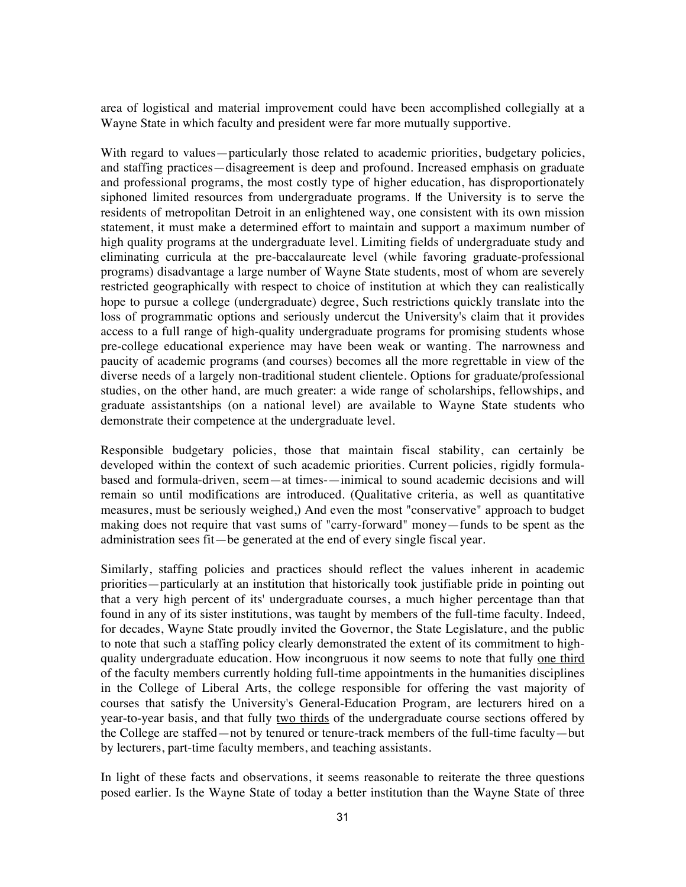area of logistical and material improvement could have been accomplished collegially at a Wayne State in which faculty and president were far more mutually supportive.

With regard to values—particularly those related to academic priorities, budgetary policies, and staffing practices—disagreement is deep and profound. Increased emphasis on graduate and professional programs, the most costly type of higher education, has disproportionately siphoned limited resources from undergraduate programs. If the University is to serve the residents of metropolitan Detroit in an enlightened way, one consistent with its own mission statement, it must make a determined effort to maintain and support a maximum number of high quality programs at the undergraduate level. Limiting fields of undergraduate study and eliminating curricula at the pre-baccalaureate level (while favoring graduate-professional programs) disadvantage a large number of Wayne State students, most of whom are severely restricted geographically with respect to choice of institution at which they can realistically hope to pursue a college (undergraduate) degree, Such restrictions quickly translate into the loss of programmatic options and seriously undercut the University's claim that it provides access to a full range of high-quality undergraduate programs for promising students whose pre-college educational experience may have been weak or wanting. The narrowness and paucity of academic programs (and courses) becomes all the more regrettable in view of the diverse needs of a largely non-traditional student clientele. Options for graduate/professional studies, on the other hand, are much greater: a wide range of scholarships, fellowships, and graduate assistantships (on a national level) are available to Wayne State students who demonstrate their competence at the undergraduate level.

Responsible budgetary policies, those that maintain fiscal stability, can certainly be developed within the context of such academic priorities. Current policies, rigidly formulabased and formula-driven, seem—at times-—inimical to sound academic decisions and will remain so until modifications are introduced. (Qualitative criteria, as well as quantitative measures, must be seriously weighed,) And even the most "conservative" approach to budget making does not require that vast sums of "carry-forward" money—funds to be spent as the administration sees fit—be generated at the end of every single fiscal year.

Similarly, staffing policies and practices should reflect the values inherent in academic priorities—particularly at an institution that historically took justifiable pride in pointing out that a very high percent of its' undergraduate courses, a much higher percentage than that found in any of its sister institutions, was taught by members of the full-time faculty. Indeed, for decades, Wayne State proudly invited the Governor, the State Legislature, and the public to note that such a staffing policy clearly demonstrated the extent of its commitment to highquality undergraduate education. How incongruous it now seems to note that fully one third of the faculty members currently holding full-time appointments in the humanities disciplines in the College of Liberal Arts, the college responsible for offering the vast majority of courses that satisfy the University's General-Education Program, are lecturers hired on a year-to-year basis, and that fully two thirds of the undergraduate course sections offered by the College are staffed—not by tenured or tenure-track members of the full-time faculty—but by lecturers, part-time faculty members, and teaching assistants.

In light of these facts and observations, it seems reasonable to reiterate the three questions posed earlier. Is the Wayne State of today a better institution than the Wayne State of three